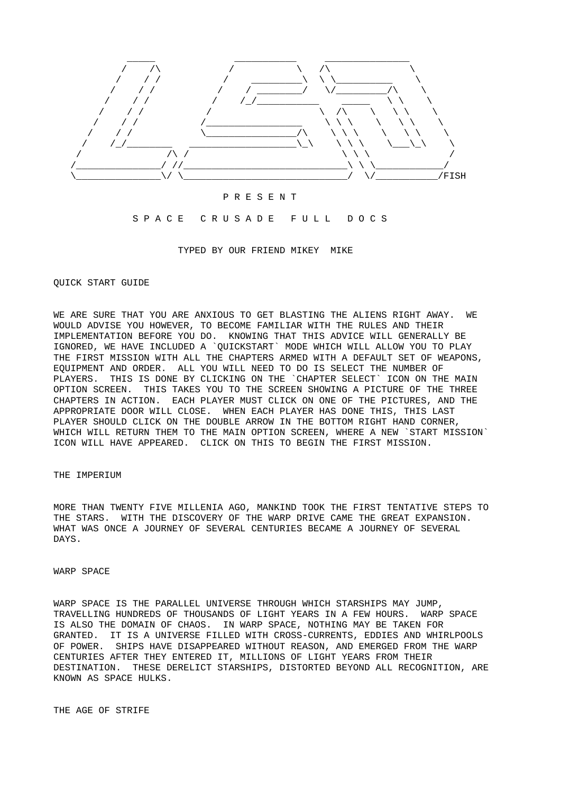

#### P R E S E N T

### S P A C E C R U S A D E F U L L D O C S

TYPED BY OUR FRIEND MIKEY MIKE

### QUICK START GUIDE

WE ARE SURE THAT YOU ARE ANXIOUS TO GET BLASTING THE ALIENS RIGHT AWAY. WE WOULD ADVISE YOU HOWEVER, TO BECOME FAMILIAR WITH THE RULES AND THEIR IMPLEMENTATION BEFORE YOU DO. KNOWING THAT THIS ADVICE WILL GENERALLY BE IGNORED, WE HAVE INCLUDED A `QUICKSTART` MODE WHICH WILL ALLOW YOU TO PLAY THE FIRST MISSION WITH ALL THE CHAPTERS ARMED WITH A DEFAULT SET OF WEAPONS, EQUIPMENT AND ORDER. ALL YOU WILL NEED TO DO IS SELECT THE NUMBER OF PLAYERS. THIS IS DONE BY CLICKING ON THE `CHAPTER SELECT` ICON ON THE MAIN OPTION SCREEN. THIS TAKES YOU TO THE SCREEN SHOWING A PICTURE OF THE THREE CHAPTERS IN ACTION. EACH PLAYER MUST CLICK ON ONE OF THE PICTURES, AND THE APPROPRIATE DOOR WILL CLOSE. WHEN EACH PLAYER HAS DONE THIS, THIS LAST PLAYER SHOULD CLICK ON THE DOUBLE ARROW IN THE BOTTOM RIGHT HAND CORNER, WHICH WILL RETURN THEM TO THE MAIN OPTION SCREEN, WHERE A NEW `START MISSION` ICON WILL HAVE APPEARED. CLICK ON THIS TO BEGIN THE FIRST MISSION.

### THE IMPERIUM

MORE THAN TWENTY FIVE MILLENIA AGO, MANKIND TOOK THE FIRST TENTATIVE STEPS TO THE STARS. WITH THE DISCOVERY OF THE WARP DRIVE CAME THE GREAT EXPANSION. WHAT WAS ONCE A JOURNEY OF SEVERAL CENTURIES BECAME A JOURNEY OF SEVERAL DAYS.

### WARP SPACE

WARP SPACE IS THE PARALLEL UNIVERSE THROUGH WHICH STARSHIPS MAY JUMP, TRAVELLING HUNDREDS OF THOUSANDS OF LIGHT YEARS IN A FEW HOURS. WARP SPACE IS ALSO THE DOMAIN OF CHAOS. IN WARP SPACE, NOTHING MAY BE TAKEN FOR GRANTED. IT IS A UNIVERSE FILLED WITH CROSS-CURRENTS, EDDIES AND WHIRLPOOLS OF POWER. SHIPS HAVE DISAPPEARED WITHOUT REASON, AND EMERGED FROM THE WARP CENTURIES AFTER THEY ENTERED IT, MILLIONS OF LIGHT YEARS FROM THEIR DESTINATION. THESE DERELICT STARSHIPS, DISTORTED BEYOND ALL RECOGNITION, ARE KNOWN AS SPACE HULKS.

THE AGE OF STRIFE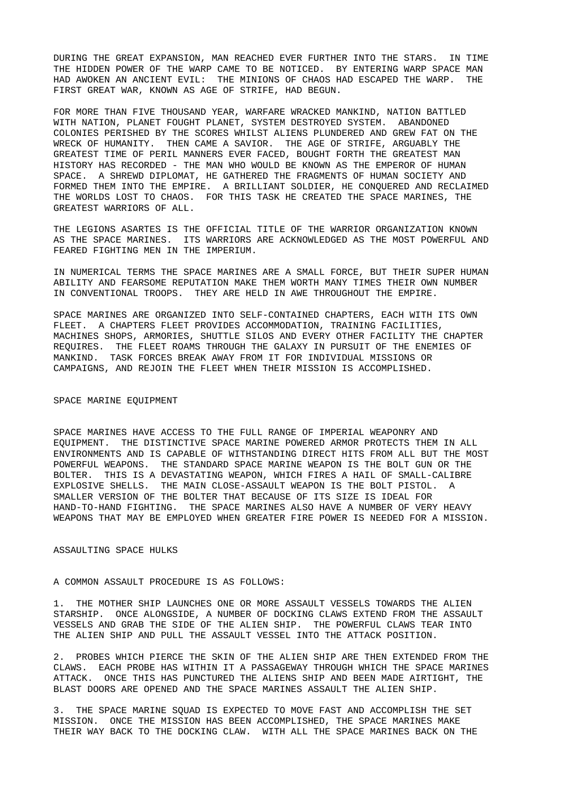DURING THE GREAT EXPANSION, MAN REACHED EVER FURTHER INTO THE STARS. IN TIME THE HIDDEN POWER OF THE WARP CAME TO BE NOTICED. BY ENTERING WARP SPACE MAN HAD AWOKEN AN ANCIENT EVIL: THE MINIONS OF CHAOS HAD ESCAPED THE WARP. THE FIRST GREAT WAR, KNOWN AS AGE OF STRIFE, HAD BEGUN.

FOR MORE THAN FIVE THOUSAND YEAR, WARFARE WRACKED MANKIND, NATION BATTLED WITH NATION, PLANET FOUGHT PLANET, SYSTEM DESTROYED SYSTEM. ABANDONED COLONIES PERISHED BY THE SCORES WHILST ALIENS PLUNDERED AND GREW FAT ON THE WRECK OF HUMANITY. THEN CAME A SAVIOR. THE AGE OF STRIFE, ARGUABLY THE GREATEST TIME OF PERIL MANNERS EVER FACED, BOUGHT FORTH THE GREATEST MAN HISTORY HAS RECORDED - THE MAN WHO WOULD BE KNOWN AS THE EMPEROR OF HUMAN SPACE. A SHREWD DIPLOMAT, HE GATHERED THE FRAGMENTS OF HUMAN SOCIETY AND FORMED THEM INTO THE EMPIRE. A BRILLIANT SOLDIER, HE CONQUERED AND RECLAIMED THE WORLDS LOST TO CHAOS. FOR THIS TASK HE CREATED THE SPACE MARINES, THE GREATEST WARRIORS OF ALL.

THE LEGIONS ASARTES IS THE OFFICIAL TITLE OF THE WARRIOR ORGANIZATION KNOWN AS THE SPACE MARINES. ITS WARRIORS ARE ACKNOWLEDGED AS THE MOST POWERFUL AND FEARED FIGHTING MEN IN THE IMPERIUM.

IN NUMERICAL TERMS THE SPACE MARINES ARE A SMALL FORCE, BUT THEIR SUPER HUMAN ABILITY AND FEARSOME REPUTATION MAKE THEM WORTH MANY TIMES THEIR OWN NUMBER IN CONVENTIONAL TROOPS. THEY ARE HELD IN AWE THROUGHOUT THE EMPIRE.

SPACE MARINES ARE ORGANIZED INTO SELF-CONTAINED CHAPTERS, EACH WITH ITS OWN FLEET. A CHAPTERS FLEET PROVIDES ACCOMMODATION, TRAINING FACILITIES, MACHINES SHOPS, ARMORIES, SHUTTLE SILOS AND EVERY OTHER FACILITY THE CHAPTER REQUIRES. THE FLEET ROAMS THROUGH THE GALAXY IN PURSUIT OF THE ENEMIES OF MANKIND. TASK FORCES BREAK AWAY FROM IT FOR INDIVIDUAL MISSIONS OR CAMPAIGNS, AND REJOIN THE FLEET WHEN THEIR MISSION IS ACCOMPLISHED.

## SPACE MARINE EQUIPMENT

SPACE MARINES HAVE ACCESS TO THE FULL RANGE OF IMPERIAL WEAPONRY AND EQUIPMENT. THE DISTINCTIVE SPACE MARINE POWERED ARMOR PROTECTS THEM IN ALL ENVIRONMENTS AND IS CAPABLE OF WITHSTANDING DIRECT HITS FROM ALL BUT THE MOST POWERFUL WEAPONS. THE STANDARD SPACE MARINE WEAPON IS THE BOLT GUN OR THE BOLTER. THIS IS A DEVASTATING WEAPON, WHICH FIRES A HAIL OF SMALL-CALIBRE EXPLOSIVE SHELLS. THE MAIN CLOSE-ASSAULT WEAPON IS THE BOLT PISTOL. A SMALLER VERSION OF THE BOLTER THAT BECAUSE OF ITS SIZE IS IDEAL FOR HAND-TO-HAND FIGHTING. THE SPACE MARINES ALSO HAVE A NUMBER OF VERY HEAVY WEAPONS THAT MAY BE EMPLOYED WHEN GREATER FIRE POWER IS NEEDED FOR A MISSION.

## ASSAULTING SPACE HULKS

## A COMMON ASSAULT PROCEDURE IS AS FOLLOWS:

1. THE MOTHER SHIP LAUNCHES ONE OR MORE ASSAULT VESSELS TOWARDS THE ALIEN STARSHIP. ONCE ALONGSIDE, A NUMBER OF DOCKING CLAWS EXTEND FROM THE ASSAULT VESSELS AND GRAB THE SIDE OF THE ALIEN SHIP. THE POWERFUL CLAWS TEAR INTO THE ALIEN SHIP AND PULL THE ASSAULT VESSEL INTO THE ATTACK POSITION.

2. PROBES WHICH PIERCE THE SKIN OF THE ALIEN SHIP ARE THEN EXTENDED FROM THE CLAWS. EACH PROBE HAS WITHIN IT A PASSAGEWAY THROUGH WHICH THE SPACE MARINES ATTACK. ONCE THIS HAS PUNCTURED THE ALIENS SHIP AND BEEN MADE AIRTIGHT, THE BLAST DOORS ARE OPENED AND THE SPACE MARINES ASSAULT THE ALIEN SHIP.

3. THE SPACE MARINE SQUAD IS EXPECTED TO MOVE FAST AND ACCOMPLISH THE SET MISSION. ONCE THE MISSION HAS BEEN ACCOMPLISHED, THE SPACE MARINES MAKE THEIR WAY BACK TO THE DOCKING CLAW. WITH ALL THE SPACE MARINES BACK ON THE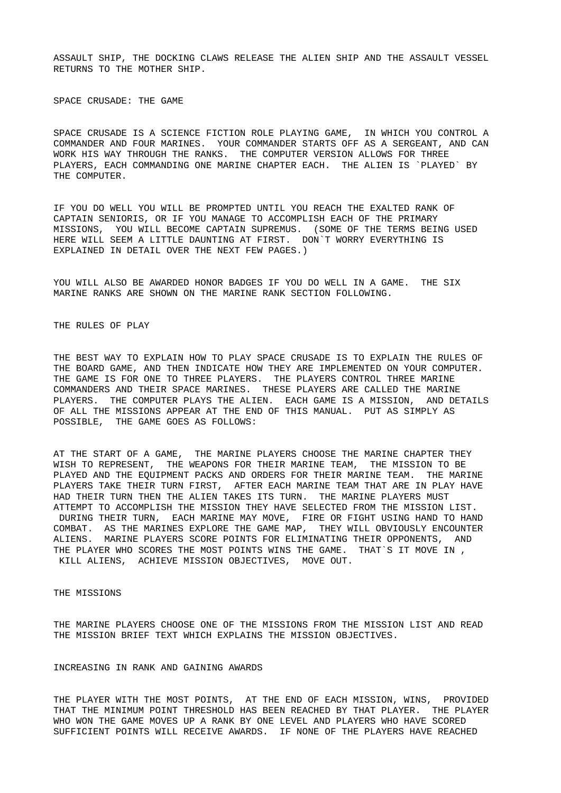ASSAULT SHIP, THE DOCKING CLAWS RELEASE THE ALIEN SHIP AND THE ASSAULT VESSEL RETURNS TO THE MOTHER SHIP.

SPACE CRUSADE: THE GAME

SPACE CRUSADE IS A SCIENCE FICTION ROLE PLAYING GAME, IN WHICH YOU CONTROL A COMMANDER AND FOUR MARINES. YOUR COMMANDER STARTS OFF AS A SERGEANT, AND CAN WORK HIS WAY THROUGH THE RANKS. THE COMPUTER VERSION ALLOWS FOR THREE PLAYERS, EACH COMMANDING ONE MARINE CHAPTER EACH. THE ALIEN IS `PLAYED` BY THE COMPUTER.

IF YOU DO WELL YOU WILL BE PROMPTED UNTIL YOU REACH THE EXALTED RANK OF CAPTAIN SENIORIS, OR IF YOU MANAGE TO ACCOMPLISH EACH OF THE PRIMARY MISSIONS, YOU WILL BECOME CAPTAIN SUPREMUS. (SOME OF THE TERMS BEING USED HERE WILL SEEM A LITTLE DAUNTING AT FIRST. DON`T WORRY EVERYTHING IS EXPLAINED IN DETAIL OVER THE NEXT FEW PAGES.)

YOU WILL ALSO BE AWARDED HONOR BADGES IF YOU DO WELL IN A GAME. THE SIX MARINE RANKS ARE SHOWN ON THE MARINE RANK SECTION FOLLOWING.

THE RULES OF PLAY

THE BEST WAY TO EXPLAIN HOW TO PLAY SPACE CRUSADE IS TO EXPLAIN THE RULES OF THE BOARD GAME, AND THEN INDICATE HOW THEY ARE IMPLEMENTED ON YOUR COMPUTER. THE GAME IS FOR ONE TO THREE PLAYERS. THE PLAYERS CONTROL THREE MARINE COMMANDERS AND THEIR SPACE MARINES. THESE PLAYERS ARE CALLED THE MARINE PLAYERS. THE COMPUTER PLAYS THE ALIEN. EACH GAME IS A MISSION, AND DETAILS OF ALL THE MISSIONS APPEAR AT THE END OF THIS MANUAL. PUT AS SIMPLY AS POSSIBLE, THE GAME GOES AS FOLLOWS:

AT THE START OF A GAME, THE MARINE PLAYERS CHOOSE THE MARINE CHAPTER THEY WISH TO REPRESENT, THE WEAPONS FOR THEIR MARINE TEAM, THE MISSION TO BE PLAYED AND THE EQUIPMENT PACKS AND ORDERS FOR THEIR MARINE TEAM. THE MARINE PLAYERS TAKE THEIR TURN FIRST, AFTER EACH MARINE TEAM THAT ARE IN PLAY HAVE HAD THEIR TURN THEN THE ALIEN TAKES ITS TURN. THE MARINE PLAYERS MUST ATTEMPT TO ACCOMPLISH THE MISSION THEY HAVE SELECTED FROM THE MISSION LIST. DURING THEIR TURN, EACH MARINE MAY MOVE, FIRE OR FIGHT USING HAND TO HAND COMBAT. AS THE MARINES EXPLORE THE GAME MAP, THEY WILL OBVIOUSLY ENCOUNTER ALIENS. MARINE PLAYERS SCORE POINTS FOR ELIMINATING THEIR OPPONENTS, AND THE PLAYER WHO SCORES THE MOST POINTS WINS THE GAME. THAT`S IT MOVE IN , KILL ALIENS, ACHIEVE MISSION OBJECTIVES, MOVE OUT.

THE MISSIONS

THE MARINE PLAYERS CHOOSE ONE OF THE MISSIONS FROM THE MISSION LIST AND READ THE MISSION BRIEF TEXT WHICH EXPLAINS THE MISSION OBJECTIVES.

INCREASING IN RANK AND GAINING AWARDS

THE PLAYER WITH THE MOST POINTS, AT THE END OF EACH MISSION, WINS, PROVIDED THAT THE MINIMUM POINT THRESHOLD HAS BEEN REACHED BY THAT PLAYER. THE PLAYER WHO WON THE GAME MOVES UP A RANK BY ONE LEVEL AND PLAYERS WHO HAVE SCORED SUFFICIENT POINTS WILL RECEIVE AWARDS. IF NONE OF THE PLAYERS HAVE REACHED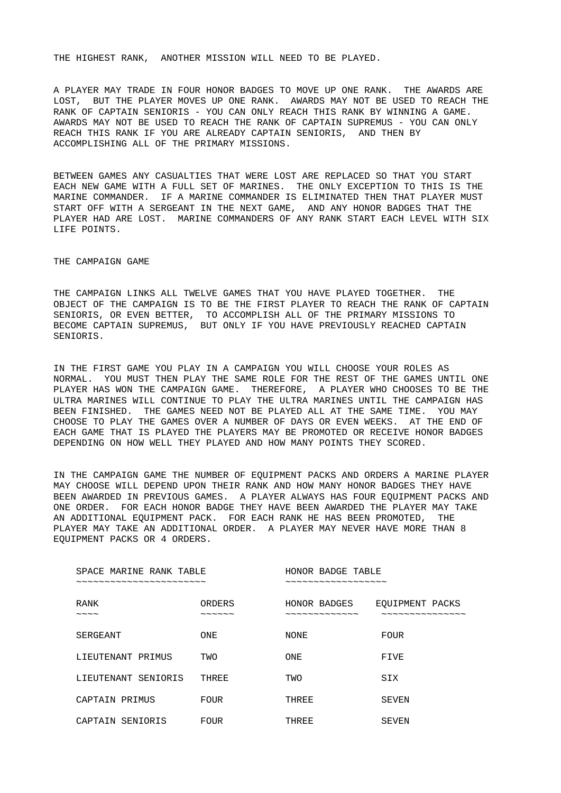THE HIGHEST RANK, ANOTHER MISSION WILL NEED TO BE PLAYED.

A PLAYER MAY TRADE IN FOUR HONOR BADGES TO MOVE UP ONE RANK. THE AWARDS ARE LOST, BUT THE PLAYER MOVES UP ONE RANK. AWARDS MAY NOT BE USED TO REACH THE RANK OF CAPTAIN SENIORIS - YOU CAN ONLY REACH THIS RANK BY WINNING A GAME. AWARDS MAY NOT BE USED TO REACH THE RANK OF CAPTAIN SUPREMUS - YOU CAN ONLY REACH THIS RANK IF YOU ARE ALREADY CAPTAIN SENIORIS, AND THEN BY ACCOMPLISHING ALL OF THE PRIMARY MISSIONS.

BETWEEN GAMES ANY CASUALTIES THAT WERE LOST ARE REPLACED SO THAT YOU START EACH NEW GAME WITH A FULL SET OF MARINES. THE ONLY EXCEPTION TO THIS IS THE MARINE COMMANDER. IF A MARINE COMMANDER IS ELIMINATED THEN THAT PLAYER MUST START OFF WITH A SERGEANT IN THE NEXT GAME, AND ANY HONOR BADGES THAT THE PLAYER HAD ARE LOST. MARINE COMMANDERS OF ANY RANK START EACH LEVEL WITH SIX LIFE POINTS.

THE CAMPAIGN GAME

THE CAMPAIGN LINKS ALL TWELVE GAMES THAT YOU HAVE PLAYED TOGETHER. THE OBJECT OF THE CAMPAIGN IS TO BE THE FIRST PLAYER TO REACH THE RANK OF CAPTAIN SENIORIS, OR EVEN BETTER, TO ACCOMPLISH ALL OF THE PRIMARY MISSIONS TO BECOME CAPTAIN SUPREMUS, BUT ONLY IF YOU HAVE PREVIOUSLY REACHED CAPTAIN SENIORIS.

IN THE FIRST GAME YOU PLAY IN A CAMPAIGN YOU WILL CHOOSE YOUR ROLES AS NORMAL. YOU MUST THEN PLAY THE SAME ROLE FOR THE REST OF THE GAMES UNTIL ONE PLAYER HAS WON THE CAMPAIGN GAME. THEREFORE, A PLAYER WHO CHOOSES TO BE THE ULTRA MARINES WILL CONTINUE TO PLAY THE ULTRA MARINES UNTIL THE CAMPAIGN HAS BEEN FINISHED. THE GAMES NEED NOT BE PLAYED ALL AT THE SAME TIME. YOU MAY CHOOSE TO PLAY THE GAMES OVER A NUMBER OF DAYS OR EVEN WEEKS. AT THE END OF EACH GAME THAT IS PLAYED THE PLAYERS MAY BE PROMOTED OR RECEIVE HONOR BADGES DEPENDING ON HOW WELL THEY PLAYED AND HOW MANY POINTS THEY SCORED.

IN THE CAMPAIGN GAME THE NUMBER OF EQUIPMENT PACKS AND ORDERS A MARINE PLAYER MAY CHOOSE WILL DEPEND UPON THEIR RANK AND HOW MANY HONOR BADGES THEY HAVE BEEN AWARDED IN PREVIOUS GAMES. A PLAYER ALWAYS HAS FOUR EQUIPMENT PACKS AND ONE ORDER. FOR EACH HONOR BADGE THEY HAVE BEEN AWARDED THE PLAYER MAY TAKE AN ADDITIONAL EQUIPMENT PACK. FOR EACH RANK HE HAS BEEN PROMOTED, THE PLAYER MAY TAKE AN ADDITIONAL ORDER. A PLAYER MAY NEVER HAVE MORE THAN 8 EQUIPMENT PACKS OR 4 ORDERS.

| SPACE MARINE RANK TABLE           |                                             | HONOR BADGE TABLE            |                                    |  |  |  |
|-----------------------------------|---------------------------------------------|------------------------------|------------------------------------|--|--|--|
| <b>RANK</b><br>$\sim\sim\sim\sim$ | <b>ORDERS</b><br>$\sim\sim\sim\sim\sim\sim$ | HONOR BADGES<br>~~~~~~~~~~~~ | EQUIPMENT PACKS<br>--------------- |  |  |  |
| <b>SERGEANT</b>                   | <b>ONE</b>                                  | <b>NONE</b>                  | <b>FOUR</b>                        |  |  |  |
| LIEUTENANT PRIMUS                 | TWO                                         | <b>ONE</b>                   | <b>FTVF</b>                        |  |  |  |
| LIEUTENANT SENIORIS               | <b>THRFF</b>                                | <b>TWO</b>                   | <b>STX</b>                         |  |  |  |
| CAPTAIN PRIMUS                    | <b>FOUR</b>                                 | <b>THREE</b>                 | <b>SEVEN</b>                       |  |  |  |
| CAPTAIN SENIORIS                  | <b>FOUR</b>                                 | <b>THREE</b>                 | <b>SEVEN</b>                       |  |  |  |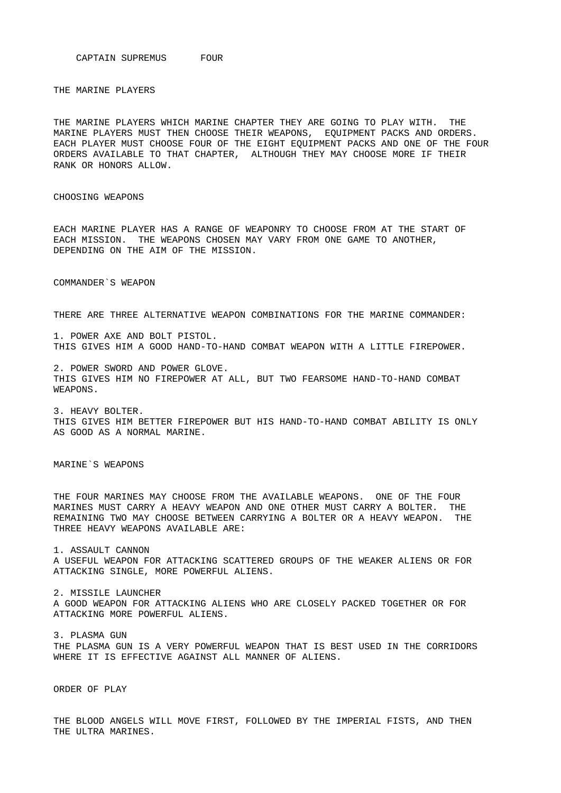CAPTAIN SUPREMUS FOUR

THE MARINE PLAYERS

THE MARINE PLAYERS WHICH MARINE CHAPTER THEY ARE GOING TO PLAY WITH. THE MARINE PLAYERS MUST THEN CHOOSE THEIR WEAPONS, EQUIPMENT PACKS AND ORDERS. EACH PLAYER MUST CHOOSE FOUR OF THE EIGHT EQUIPMENT PACKS AND ONE OF THE FOUR ORDERS AVAILABLE TO THAT CHAPTER, ALTHOUGH THEY MAY CHOOSE MORE IF THEIR RANK OR HONORS ALLOW.

CHOOSING WEAPONS

EACH MARINE PLAYER HAS A RANGE OF WEAPONRY TO CHOOSE FROM AT THE START OF EACH MISSION. THE WEAPONS CHOSEN MAY VARY FROM ONE GAME TO ANOTHER, DEPENDING ON THE AIM OF THE MISSION.

COMMANDER`S WEAPON

THERE ARE THREE ALTERNATIVE WEAPON COMBINATIONS FOR THE MARINE COMMANDER:

1. POWER AXE AND BOLT PISTOL. THIS GIVES HIM A GOOD HAND-TO-HAND COMBAT WEAPON WITH A LITTLE FIREPOWER.

2. POWER SWORD AND POWER GLOVE. THIS GIVES HIM NO FIREPOWER AT ALL, BUT TWO FEARSOME HAND-TO-HAND COMBAT WEAPONS.

3. HEAVY BOLTER. THIS GIVES HIM BETTER FIREPOWER BUT HIS HAND-TO-HAND COMBAT ABILITY IS ONLY AS GOOD AS A NORMAL MARINE.

MARINE`S WEAPONS

THE FOUR MARINES MAY CHOOSE FROM THE AVAILABLE WEAPONS. ONE OF THE FOUR MARINES MUST CARRY A HEAVY WEAPON AND ONE OTHER MUST CARRY A BOLTER. THE REMAINING TWO MAY CHOOSE BETWEEN CARRYING A BOLTER OR A HEAVY WEAPON. THE THREE HEAVY WEAPONS AVAILABLE ARE:

1. ASSAULT CANNON A USEFUL WEAPON FOR ATTACKING SCATTERED GROUPS OF THE WEAKER ALIENS OR FOR ATTACKING SINGLE, MORE POWERFUL ALIENS.

2. MISSILE LAUNCHER A GOOD WEAPON FOR ATTACKING ALIENS WHO ARE CLOSELY PACKED TOGETHER OR FOR ATTACKING MORE POWERFUL ALIENS.

3. PLASMA GUN THE PLASMA GUN IS A VERY POWERFUL WEAPON THAT IS BEST USED IN THE CORRIDORS WHERE IT IS EFFECTIVE AGAINST ALL MANNER OF ALIENS.

ORDER OF PLAY

THE BLOOD ANGELS WILL MOVE FIRST, FOLLOWED BY THE IMPERIAL FISTS, AND THEN THE ULTRA MARINES.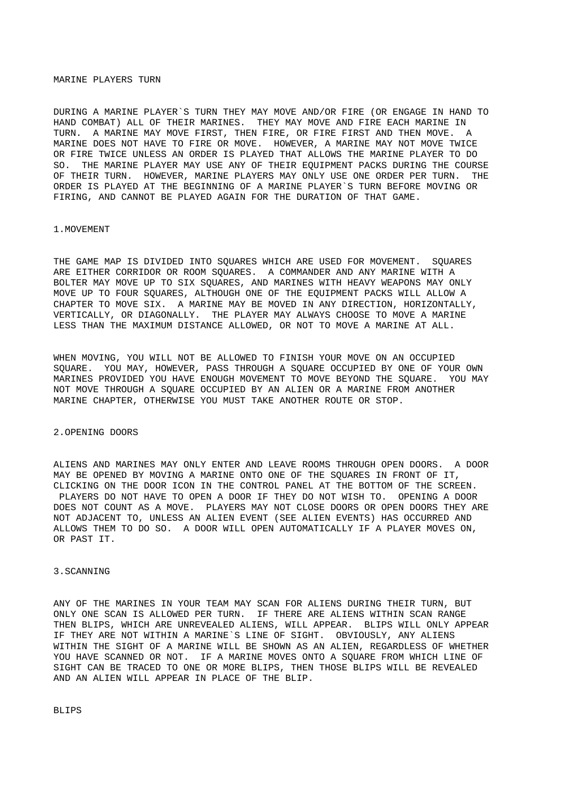### MARINE PLAYERS TURN

DURING A MARINE PLAYER`S TURN THEY MAY MOVE AND/OR FIRE (OR ENGAGE IN HAND TO HAND COMBAT) ALL OF THEIR MARINES. THEY MAY MOVE AND FIRE EACH MARINE IN TURN. A MARINE MAY MOVE FIRST, THEN FIRE, OR FIRE FIRST AND THEN MOVE. A MARINE DOES NOT HAVE TO FIRE OR MOVE. HOWEVER, A MARINE MAY NOT MOVE TWICE OR FIRE TWICE UNLESS AN ORDER IS PLAYED THAT ALLOWS THE MARINE PLAYER TO DO SO. THE MARINE PLAYER MAY USE ANY OF THEIR EQUIPMENT PACKS DURING THE COURSE OF THEIR TURN. HOWEVER, MARINE PLAYERS MAY ONLY USE ONE ORDER PER TURN. THE ORDER IS PLAYED AT THE BEGINNING OF A MARINE PLAYER`S TURN BEFORE MOVING OR FIRING, AND CANNOT BE PLAYED AGAIN FOR THE DURATION OF THAT GAME.

### 1.MOVEMENT

THE GAME MAP IS DIVIDED INTO SQUARES WHICH ARE USED FOR MOVEMENT. SQUARES ARE EITHER CORRIDOR OR ROOM SQUARES. A COMMANDER AND ANY MARINE WITH A BOLTER MAY MOVE UP TO SIX SQUARES, AND MARINES WITH HEAVY WEAPONS MAY ONLY MOVE UP TO FOUR SQUARES, ALTHOUGH ONE OF THE EQUIPMENT PACKS WILL ALLOW A CHAPTER TO MOVE SIX. A MARINE MAY BE MOVED IN ANY DIRECTION, HORIZONTALLY, VERTICALLY, OR DIAGONALLY. THE PLAYER MAY ALWAYS CHOOSE TO MOVE A MARINE LESS THAN THE MAXIMUM DISTANCE ALLOWED, OR NOT TO MOVE A MARINE AT ALL.

WHEN MOVING, YOU WILL NOT BE ALLOWED TO FINISH YOUR MOVE ON AN OCCUPIED SQUARE. YOU MAY, HOWEVER, PASS THROUGH A SQUARE OCCUPIED BY ONE OF YOUR OWN MARINES PROVIDED YOU HAVE ENOUGH MOVEMENT TO MOVE BEYOND THE SQUARE. YOU MAY NOT MOVE THROUGH A SQUARE OCCUPIED BY AN ALIEN OR A MARINE FROM ANOTHER MARINE CHAPTER, OTHERWISE YOU MUST TAKE ANOTHER ROUTE OR STOP.

## 2.OPENING DOORS

ALIENS AND MARINES MAY ONLY ENTER AND LEAVE ROOMS THROUGH OPEN DOORS. A DOOR MAY BE OPENED BY MOVING A MARINE ONTO ONE OF THE SQUARES IN FRONT OF IT, CLICKING ON THE DOOR ICON IN THE CONTROL PANEL AT THE BOTTOM OF THE SCREEN. PLAYERS DO NOT HAVE TO OPEN A DOOR IF THEY DO NOT WISH TO. OPENING A DOOR DOES NOT COUNT AS A MOVE. PLAYERS MAY NOT CLOSE DOORS OR OPEN DOORS THEY ARE NOT ADJACENT TO, UNLESS AN ALIEN EVENT (SEE ALIEN EVENTS) HAS OCCURRED AND ALLOWS THEM TO DO SO. A DOOR WILL OPEN AUTOMATICALLY IF A PLAYER MOVES ON, OR PAST IT.

### 3.SCANNING

ANY OF THE MARINES IN YOUR TEAM MAY SCAN FOR ALIENS DURING THEIR TURN, BUT ONLY ONE SCAN IS ALLOWED PER TURN. IF THERE ARE ALIENS WITHIN SCAN RANGE THEN BLIPS, WHICH ARE UNREVEALED ALIENS, WILL APPEAR. BLIPS WILL ONLY APPEAR IF THEY ARE NOT WITHIN A MARINE`S LINE OF SIGHT. OBVIOUSLY, ANY ALIENS WITHIN THE SIGHT OF A MARINE WILL BE SHOWN AS AN ALIEN, REGARDLESS OF WHETHER YOU HAVE SCANNED OR NOT. IF A MARINE MOVES ONTO A SQUARE FROM WHICH LINE OF SIGHT CAN BE TRACED TO ONE OR MORE BLIPS, THEN THOSE BLIPS WILL BE REVEALED AND AN ALIEN WILL APPEAR IN PLACE OF THE BLIP.

**BLIPS**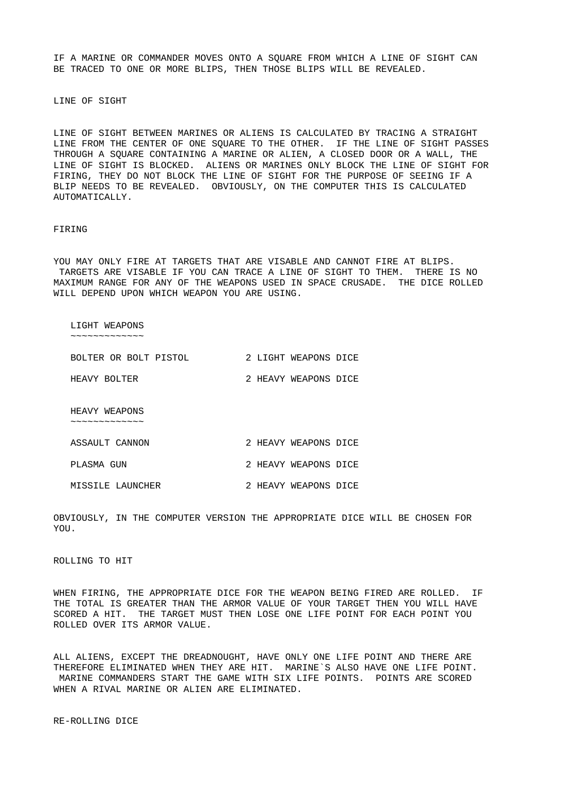IF A MARINE OR COMMANDER MOVES ONTO A SQUARE FROM WHICH A LINE OF SIGHT CAN BE TRACED TO ONE OR MORE BLIPS, THEN THOSE BLIPS WILL BE REVEALED.

LINE OF SIGHT

LINE OF SIGHT BETWEEN MARINES OR ALIENS IS CALCULATED BY TRACING A STRAIGHT LINE FROM THE CENTER OF ONE SQUARE TO THE OTHER. IF THE LINE OF SIGHT PASSES THROUGH A SQUARE CONTAINING A MARINE OR ALIEN, A CLOSED DOOR OR A WALL, THE LINE OF SIGHT IS BLOCKED. ALIENS OR MARINES ONLY BLOCK THE LINE OF SIGHT FOR FIRING, THEY DO NOT BLOCK THE LINE OF SIGHT FOR THE PURPOSE OF SEEING IF A BLIP NEEDS TO BE REVEALED. OBVIOUSLY, ON THE COMPUTER THIS IS CALCULATED AUTOMATICALLY.

#### FIRING

YOU MAY ONLY FIRE AT TARGETS THAT ARE VISABLE AND CANNOT FIRE AT BLIPS. TARGETS ARE VISABLE IF YOU CAN TRACE A LINE OF SIGHT TO THEM. THERE IS NO MAXIMUM RANGE FOR ANY OF THE WEAPONS USED IN SPACE CRUSADE. THE DICE ROLLED WILL DEPEND UPON WHICH WEAPON YOU ARE USING.

 LIGHT WEAPONS ~~~~~~~~~~~~~

| BOLTER OR BOLT PISTOL |  | 2 LIGHT WEAPONS DICE |  |
|-----------------------|--|----------------------|--|
| HEAVY BOLTER          |  | 2 HEAVY WEAPONS DICE |  |

 HEAVY WEAPONS ~~~~~~~~~~~

| ASSAULT CANNON |  | 2 HEAVY WEAPONS DICE |  |
|----------------|--|----------------------|--|
| PLASMA GUN     |  | 2 HEAVY WEAPONS DICE |  |

MISSILE LAUNCHER 2 HEAVY WEAPONS DICE

OBVIOUSLY, IN THE COMPUTER VERSION THE APPROPRIATE DICE WILL BE CHOSEN FOR YOU.

ROLLING TO HIT

WHEN FIRING, THE APPROPRIATE DICE FOR THE WEAPON BEING FIRED ARE ROLLED. IF THE TOTAL IS GREATER THAN THE ARMOR VALUE OF YOUR TARGET THEN YOU WILL HAVE SCORED A HIT. THE TARGET MUST THEN LOSE ONE LIFE POINT FOR EACH POINT YOU ROLLED OVER ITS ARMOR VALUE.

ALL ALIENS, EXCEPT THE DREADNOUGHT, HAVE ONLY ONE LIFE POINT AND THERE ARE THEREFORE ELIMINATED WHEN THEY ARE HIT. MARINE`S ALSO HAVE ONE LIFE POINT. MARINE COMMANDERS START THE GAME WITH SIX LIFE POINTS. POINTS ARE SCORED WHEN A RIVAL MARINE OR ALIEN ARE ELIMINATED.

RE-ROLLING DICE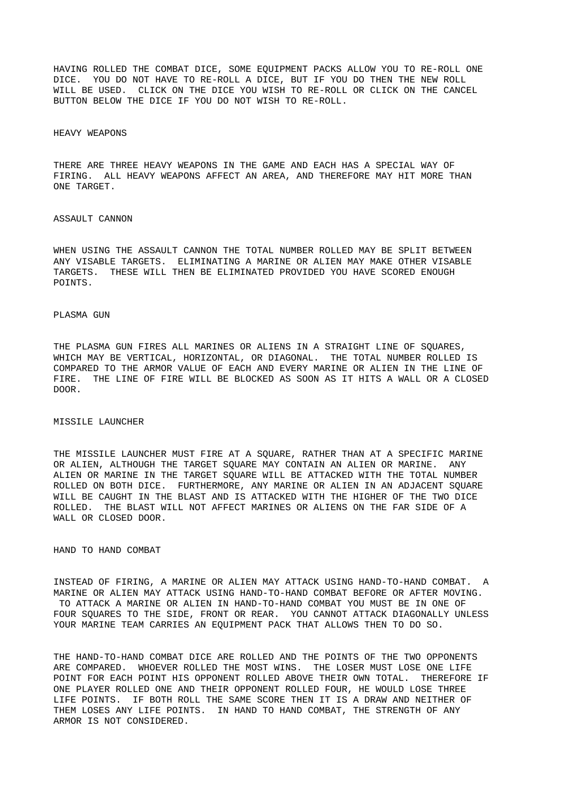HAVING ROLLED THE COMBAT DICE, SOME EQUIPMENT PACKS ALLOW YOU TO RE-ROLL ONE DICE. YOU DO NOT HAVE TO RE-ROLL A DICE, BUT IF YOU DO THEN THE NEW ROLL WILL BE USED. CLICK ON THE DICE YOU WISH TO RE-ROLL OR CLICK ON THE CANCEL BUTTON BELOW THE DICE IF YOU DO NOT WISH TO RE-ROLL.

### HEAVY WEAPONS

THERE ARE THREE HEAVY WEAPONS IN THE GAME AND EACH HAS A SPECIAL WAY OF FIRING. ALL HEAVY WEAPONS AFFECT AN AREA, AND THEREFORE MAY HIT MORE THAN ONE TARGET.

#### ASSAULT CANNON

WHEN USING THE ASSAULT CANNON THE TOTAL NUMBER ROLLED MAY BE SPLIT BETWEEN ANY VISABLE TARGETS. ELIMINATING A MARINE OR ALIEN MAY MAKE OTHER VISABLE TARGETS. THESE WILL THEN BE ELIMINATED PROVIDED YOU HAVE SCORED ENOUGH POINTS.

## PLASMA GUN

THE PLASMA GUN FIRES ALL MARINES OR ALIENS IN A STRAIGHT LINE OF SQUARES, WHICH MAY BE VERTICAL, HORIZONTAL, OR DIAGONAL. THE TOTAL NUMBER ROLLED IS COMPARED TO THE ARMOR VALUE OF EACH AND EVERY MARINE OR ALIEN IN THE LINE OF FIRE. THE LINE OF FIRE WILL BE BLOCKED AS SOON AS IT HITS A WALL OR A CLOSED DOOR.

## MISSILE LAUNCHER

THE MISSILE LAUNCHER MUST FIRE AT A SQUARE, RATHER THAN AT A SPECIFIC MARINE OR ALIEN, ALTHOUGH THE TARGET SQUARE MAY CONTAIN AN ALIEN OR MARINE. ANY ALIEN OR MARINE IN THE TARGET SQUARE WILL BE ATTACKED WITH THE TOTAL NUMBER ROLLED ON BOTH DICE. FURTHERMORE, ANY MARINE OR ALIEN IN AN ADJACENT SQUARE WILL BE CAUGHT IN THE BLAST AND IS ATTACKED WITH THE HIGHER OF THE TWO DICE ROLLED. THE BLAST WILL NOT AFFECT MARINES OR ALIENS ON THE FAR SIDE OF A WALL OR CLOSED DOOR.

HAND TO HAND COMBAT

INSTEAD OF FIRING, A MARINE OR ALIEN MAY ATTACK USING HAND-TO-HAND COMBAT. A MARINE OR ALIEN MAY ATTACK USING HAND-TO-HAND COMBAT BEFORE OR AFTER MOVING. TO ATTACK A MARINE OR ALIEN IN HAND-TO-HAND COMBAT YOU MUST BE IN ONE OF FOUR SQUARES TO THE SIDE, FRONT OR REAR. YOU CANNOT ATTACK DIAGONALLY UNLESS YOUR MARINE TEAM CARRIES AN EQUIPMENT PACK THAT ALLOWS THEN TO DO SO.

THE HAND-TO-HAND COMBAT DICE ARE ROLLED AND THE POINTS OF THE TWO OPPONENTS ARE COMPARED. WHOEVER ROLLED THE MOST WINS. THE LOSER MUST LOSE ONE LIFE POINT FOR EACH POINT HIS OPPONENT ROLLED ABOVE THEIR OWN TOTAL. THEREFORE IF ONE PLAYER ROLLED ONE AND THEIR OPPONENT ROLLED FOUR, HE WOULD LOSE THREE LIFE POINTS. IF BOTH ROLL THE SAME SCORE THEN IT IS A DRAW AND NEITHER OF THEM LOSES ANY LIFE POINTS. IN HAND TO HAND COMBAT, THE STRENGTH OF ANY ARMOR IS NOT CONSIDERED.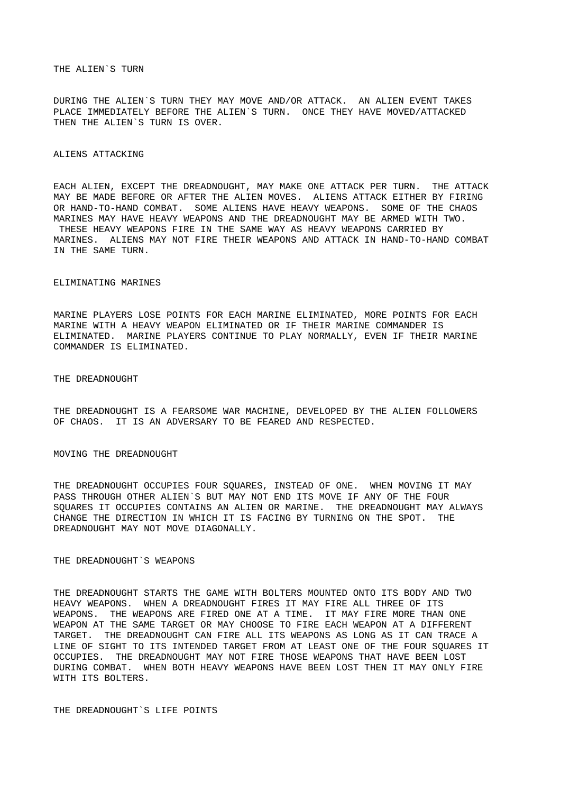## THE ALIEN`S TURN

DURING THE ALIEN`S TURN THEY MAY MOVE AND/OR ATTACK. AN ALIEN EVENT TAKES PLACE IMMEDIATELY BEFORE THE ALIEN`S TURN. ONCE THEY HAVE MOVED/ATTACKED THEN THE ALIEN`S TURN IS OVER.

## ALIENS ATTACKING

EACH ALIEN, EXCEPT THE DREADNOUGHT, MAY MAKE ONE ATTACK PER TURN. THE ATTACK MAY BE MADE BEFORE OR AFTER THE ALIEN MOVES. ALIENS ATTACK EITHER BY FIRING OR HAND-TO-HAND COMBAT. SOME ALIENS HAVE HEAVY WEAPONS. SOME OF THE CHAOS MARINES MAY HAVE HEAVY WEAPONS AND THE DREADNOUGHT MAY BE ARMED WITH TWO. THESE HEAVY WEAPONS FIRE IN THE SAME WAY AS HEAVY WEAPONS CARRIED BY MARINES. ALIENS MAY NOT FIRE THEIR WEAPONS AND ATTACK IN HAND-TO-HAND COMBAT IN THE SAME TURN.

### ELIMINATING MARINES

MARINE PLAYERS LOSE POINTS FOR EACH MARINE ELIMINATED, MORE POINTS FOR EACH MARINE WITH A HEAVY WEAPON ELIMINATED OR IF THEIR MARINE COMMANDER IS ELIMINATED. MARINE PLAYERS CONTINUE TO PLAY NORMALLY, EVEN IF THEIR MARINE COMMANDER IS ELIMINATED.

THE DREADNOUGHT

THE DREADNOUGHT IS A FEARSOME WAR MACHINE, DEVELOPED BY THE ALIEN FOLLOWERS OF CHAOS. IT IS AN ADVERSARY TO BE FEARED AND RESPECTED.

MOVING THE DREADNOUGHT

THE DREADNOUGHT OCCUPIES FOUR SQUARES, INSTEAD OF ONE. WHEN MOVING IT MAY PASS THROUGH OTHER ALIEN`S BUT MAY NOT END ITS MOVE IF ANY OF THE FOUR SQUARES IT OCCUPIES CONTAINS AN ALIEN OR MARINE. THE DREADNOUGHT MAY ALWAYS CHANGE THE DIRECTION IN WHICH IT IS FACING BY TURNING ON THE SPOT. THE DREADNOUGHT MAY NOT MOVE DIAGONALLY.

# THE DREADNOUGHT`S WEAPONS

THE DREADNOUGHT STARTS THE GAME WITH BOLTERS MOUNTED ONTO ITS BODY AND TWO HEAVY WEAPONS. WHEN A DREADNOUGHT FIRES IT MAY FIRE ALL THREE OF ITS WEAPONS. THE WEAPONS ARE FIRED ONE AT A TIME. IT MAY FIRE MORE THAN ONE WEAPON AT THE SAME TARGET OR MAY CHOOSE TO FIRE EACH WEAPON AT A DIFFERENT TARGET. THE DREADNOUGHT CAN FIRE ALL ITS WEAPONS AS LONG AS IT CAN TRACE A LINE OF SIGHT TO ITS INTENDED TARGET FROM AT LEAST ONE OF THE FOUR SOUARES IT OCCUPIES. THE DREADNOUGHT MAY NOT FIRE THOSE WEAPONS THAT HAVE BEEN LOST DURING COMBAT. WHEN BOTH HEAVY WEAPONS HAVE BEEN LOST THEN IT MAY ONLY FIRE WITH ITS BOLTERS.

THE DREADNOUGHT`S LIFE POINTS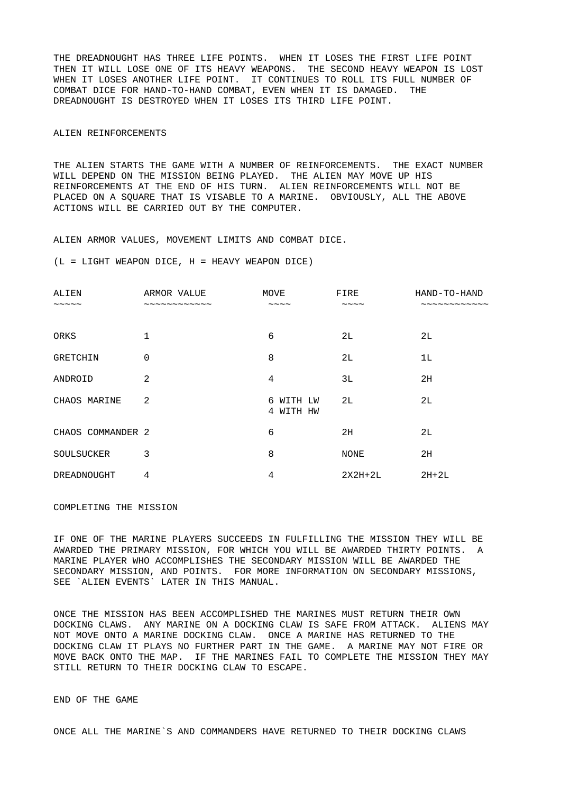THE DREADNOUGHT HAS THREE LIFE POINTS. WHEN IT LOSES THE FIRST LIFE POINT THEN IT WILL LOSE ONE OF ITS HEAVY WEAPONS. THE SECOND HEAVY WEAPON IS LOST WHEN IT LOSES ANOTHER LIFE POINT. IT CONTINUES TO ROLL ITS FULL NUMBER OF COMBAT DICE FOR HAND-TO-HAND COMBAT, EVEN WHEN IT IS DAMAGED. THE DREADNOUGHT IS DESTROYED WHEN IT LOSES ITS THIRD LIFE POINT.

## ALIEN REINFORCEMENTS

THE ALIEN STARTS THE GAME WITH A NUMBER OF REINFORCEMENTS. THE EXACT NUMBER WILL DEPEND ON THE MISSION BEING PLAYED. THE ALIEN MAY MOVE UP HIS REINFORCEMENTS AT THE END OF HIS TURN. ALIEN REINFORCEMENTS WILL NOT BE PLACED ON A SQUARE THAT IS VISABLE TO A MARINE. OBVIOUSLY, ALL THE ABOVE ACTIONS WILL BE CARRIED OUT BY THE COMPUTER.

ALIEN ARMOR VALUES, MOVEMENT LIMITS AND COMBAT DICE.

 $(L = LIGHT WEAPON DICE, H = HEAVY WEAPON DICE)$ 

| ALIEN                  | ARMOR VALUE      | <b>MOVE</b>            | <b>FIRE</b>        | HAND-TO-HAND |
|------------------------|------------------|------------------------|--------------------|--------------|
| $\sim\sim\sim\sim\sim$ | $-$ ------------ | $\sim\sim\sim\sim$     | $\sim\sim\sim\sim$ | . ~~~~~~~~~~ |
| <b>ORKS</b>            | 1                | 6                      | 2L                 | 2L           |
| <b>GRETCHIN</b>        | 0                | 8                      | 2L                 | 1L           |
| ANDROID                | 2                | $\overline{4}$         | 3L                 | 2H           |
| CHAOS MARINE           | 2                | 6 WITH LW<br>4 WITH HW | 2L                 | 2L           |
| CHAOS COMMANDER 2      |                  | 6                      | 2H                 | 2L           |
| <b>SOULSUCKER</b>      | 3                | 8                      | <b>NONE</b>        | 2H           |
| DREADNOUGHT            | 4                | 4                      | 2X2H+2L            | $2H+2L$      |

COMPLETING THE MISSION

IF ONE OF THE MARINE PLAYERS SUCCEEDS IN FULFILLING THE MISSION THEY WILL BE AWARDED THE PRIMARY MISSION, FOR WHICH YOU WILL BE AWARDED THIRTY POINTS. A MARINE PLAYER WHO ACCOMPLISHES THE SECONDARY MISSION WILL BE AWARDED THE SECONDARY MISSION, AND POINTS. FOR MORE INFORMATION ON SECONDARY MISSIONS, SEE `ALIEN EVENTS` LATER IN THIS MANUAL.

ONCE THE MISSION HAS BEEN ACCOMPLISHED THE MARINES MUST RETURN THEIR OWN DOCKING CLAWS. ANY MARINE ON A DOCKING CLAW IS SAFE FROM ATTACK. ALIENS MAY NOT MOVE ONTO A MARINE DOCKING CLAW. ONCE A MARINE HAS RETURNED TO THE DOCKING CLAW IT PLAYS NO FURTHER PART IN THE GAME. A MARINE MAY NOT FIRE OR MOVE BACK ONTO THE MAP. IF THE MARINES FAIL TO COMPLETE THE MISSION THEY MAY STILL RETURN TO THEIR DOCKING CLAW TO ESCAPE.

END OF THE GAME

ONCE ALL THE MARINE`S AND COMMANDERS HAVE RETURNED TO THEIR DOCKING CLAWS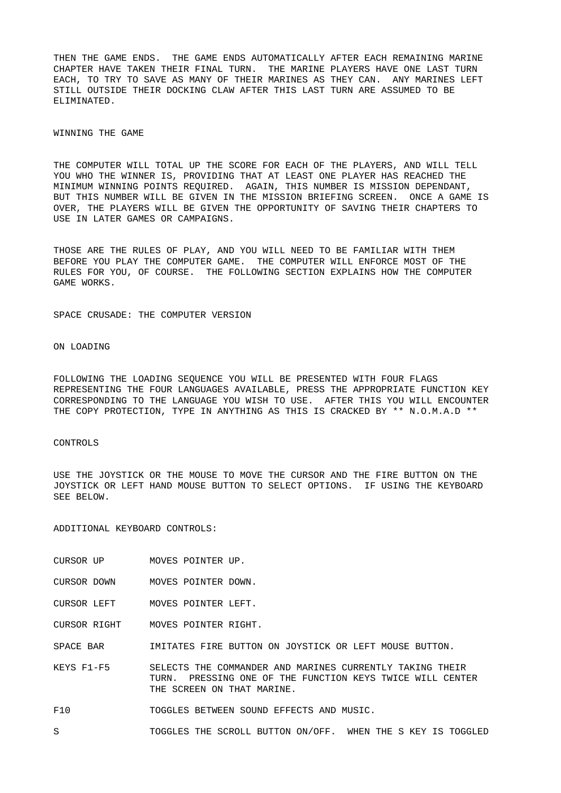THEN THE GAME ENDS. THE GAME ENDS AUTOMATICALLY AFTER EACH REMAINING MARINE CHAPTER HAVE TAKEN THEIR FINAL TURN. THE MARINE PLAYERS HAVE ONE LAST TURN EACH, TO TRY TO SAVE AS MANY OF THEIR MARINES AS THEY CAN. ANY MARINES LEFT STILL OUTSIDE THEIR DOCKING CLAW AFTER THIS LAST TURN ARE ASSUMED TO BE ELIMINATED.

## WINNING THE GAME

THE COMPUTER WILL TOTAL UP THE SCORE FOR EACH OF THE PLAYERS, AND WILL TELL YOU WHO THE WINNER IS, PROVIDING THAT AT LEAST ONE PLAYER HAS REACHED THE MINIMUM WINNING POINTS REQUIRED. AGAIN, THIS NUMBER IS MISSION DEPENDANT, BUT THIS NUMBER WILL BE GIVEN IN THE MISSION BRIEFING SCREEN. ONCE A GAME IS OVER, THE PLAYERS WILL BE GIVEN THE OPPORTUNITY OF SAVING THEIR CHAPTERS TO USE IN LATER GAMES OR CAMPAIGNS.

THOSE ARE THE RULES OF PLAY, AND YOU WILL NEED TO BE FAMILIAR WITH THEM BEFORE YOU PLAY THE COMPUTER GAME. THE COMPUTER WILL ENFORCE MOST OF THE RULES FOR YOU, OF COURSE. THE FOLLOWING SECTION EXPLAINS HOW THE COMPUTER GAME WORKS.

SPACE CRUSADE: THE COMPUTER VERSION

ON LOADING

FOLLOWING THE LOADING SEQUENCE YOU WILL BE PRESENTED WITH FOUR FLAGS REPRESENTING THE FOUR LANGUAGES AVAILABLE, PRESS THE APPROPRIATE FUNCTION KEY CORRESPONDING TO THE LANGUAGE YOU WISH TO USE. AFTER THIS YOU WILL ENCOUNTER THE COPY PROTECTION, TYPE IN ANYTHING AS THIS IS CRACKED BY \*\* N.O.M.A.D \*\*

### CONTROLS

USE THE JOYSTICK OR THE MOUSE TO MOVE THE CURSOR AND THE FIRE BUTTON ON THE JOYSTICK OR LEFT HAND MOUSE BUTTON TO SELECT OPTIONS. IF USING THE KEYBOARD SEE BELOW.

ADDITIONAL KEYBOARD CONTROLS:

- CURSOR UP MOVES POINTER UP.
- CURSOR DOWN MOVES POINTER DOWN.
- CURSOR LEFT MOVES POINTER LEFT.

CURSOR RIGHT MOVES POINTER RIGHT.

SPACE BAR **IMITATES FIRE BUTTON ON JOYSTICK OR LEFT MOUSE BUTTON.** 

- KEYS F1-F5 SELECTS THE COMMANDER AND MARINES CURRENTLY TAKING THEIR TURN. PRESSING ONE OF THE FUNCTION KEYS TWICE WILL CENTER THE SCREEN ON THAT MARINE.
- F10 TOGGLES BETWEEN SOUND EFFECTS AND MUSIC.
- S TOGGLES THE SCROLL BUTTON ON/OFF. WHEN THE S KEY IS TOGGLED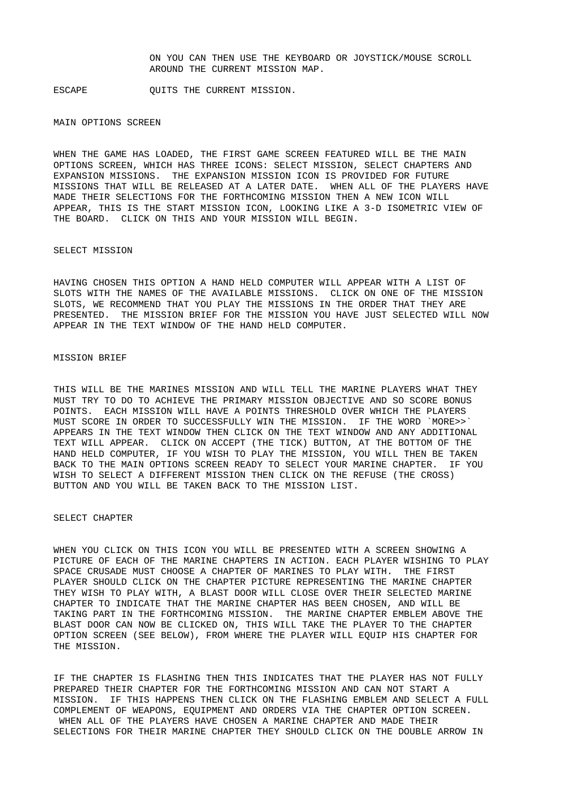ON YOU CAN THEN USE THE KEYBOARD OR JOYSTICK/MOUSE SCROLL AROUND THE CURRENT MISSION MAP.

ESCAPE **OUITS THE CURRENT MISSION.** 

### MAIN OPTIONS SCREEN

WHEN THE GAME HAS LOADED, THE FIRST GAME SCREEN FEATURED WILL BE THE MAIN OPTIONS SCREEN, WHICH HAS THREE ICONS: SELECT MISSION, SELECT CHAPTERS AND EXPANSION MISSIONS. THE EXPANSION MISSION ICON IS PROVIDED FOR FUTURE MISSIONS THAT WILL BE RELEASED AT A LATER DATE. WHEN ALL OF THE PLAYERS HAVE MADE THEIR SELECTIONS FOR THE FORTHCOMING MISSION THEN A NEW ICON WILL APPEAR, THIS IS THE START MISSION ICON, LOOKING LIKE A 3-D ISOMETRIC VIEW OF THE BOARD. CLICK ON THIS AND YOUR MISSION WILL BEGIN.

### SELECT MISSION

HAVING CHOSEN THIS OPTION A HAND HELD COMPUTER WILL APPEAR WITH A LIST OF SLOTS WITH THE NAMES OF THE AVAILABLE MISSIONS. CLICK ON ONE OF THE MISSION SLOTS, WE RECOMMEND THAT YOU PLAY THE MISSIONS IN THE ORDER THAT THEY ARE PRESENTED. THE MISSION BRIEF FOR THE MISSION YOU HAVE JUST SELECTED WILL NOW APPEAR IN THE TEXT WINDOW OF THE HAND HELD COMPUTER.

## MISSION BRIEF

THIS WILL BE THE MARINES MISSION AND WILL TELL THE MARINE PLAYERS WHAT THEY MUST TRY TO DO TO ACHIEVE THE PRIMARY MISSION OBJECTIVE AND SO SCORE BONUS POINTS. EACH MISSION WILL HAVE A POINTS THRESHOLD OVER WHICH THE PLAYERS MUST SCORE IN ORDER TO SUCCESSFULLY WIN THE MISSION. IF THE WORD `MORE>>` APPEARS IN THE TEXT WINDOW THEN CLICK ON THE TEXT WINDOW AND ANY ADDITIONAL TEXT WILL APPEAR. CLICK ON ACCEPT (THE TICK) BUTTON, AT THE BOTTOM OF THE HAND HELD COMPUTER, IF YOU WISH TO PLAY THE MISSION, YOU WILL THEN BE TAKEN BACK TO THE MAIN OPTIONS SCREEN READY TO SELECT YOUR MARINE CHAPTER. IF YOU WISH TO SELECT A DIFFERENT MISSION THEN CLICK ON THE REFUSE (THE CROSS) BUTTON AND YOU WILL BE TAKEN BACK TO THE MISSION LIST.

### SELECT CHAPTER

WHEN YOU CLICK ON THIS ICON YOU WILL BE PRESENTED WITH A SCREEN SHOWING A PICTURE OF EACH OF THE MARINE CHAPTERS IN ACTION. EACH PLAYER WISHING TO PLAY SPACE CRUSADE MUST CHOOSE A CHAPTER OF MARINES TO PLAY WITH. THE FIRST PLAYER SHOULD CLICK ON THE CHAPTER PICTURE REPRESENTING THE MARINE CHAPTER THEY WISH TO PLAY WITH, A BLAST DOOR WILL CLOSE OVER THEIR SELECTED MARINE CHAPTER TO INDICATE THAT THE MARINE CHAPTER HAS BEEN CHOSEN, AND WILL BE TAKING PART IN THE FORTHCOMING MISSION. THE MARINE CHAPTER EMBLEM ABOVE THE BLAST DOOR CAN NOW BE CLICKED ON, THIS WILL TAKE THE PLAYER TO THE CHAPTER OPTION SCREEN (SEE BELOW), FROM WHERE THE PLAYER WILL EQUIP HIS CHAPTER FOR THE MISSION.

IF THE CHAPTER IS FLASHING THEN THIS INDICATES THAT THE PLAYER HAS NOT FULLY PREPARED THEIR CHAPTER FOR THE FORTHCOMING MISSION AND CAN NOT START A MISSION. IF THIS HAPPENS THEN CLICK ON THE FLASHING EMBLEM AND SELECT A FULL COMPLEMENT OF WEAPONS, EQUIPMENT AND ORDERS VIA THE CHAPTER OPTION SCREEN. WHEN ALL OF THE PLAYERS HAVE CHOSEN A MARINE CHAPTER AND MADE THEIR SELECTIONS FOR THEIR MARINE CHAPTER THEY SHOULD CLICK ON THE DOUBLE ARROW IN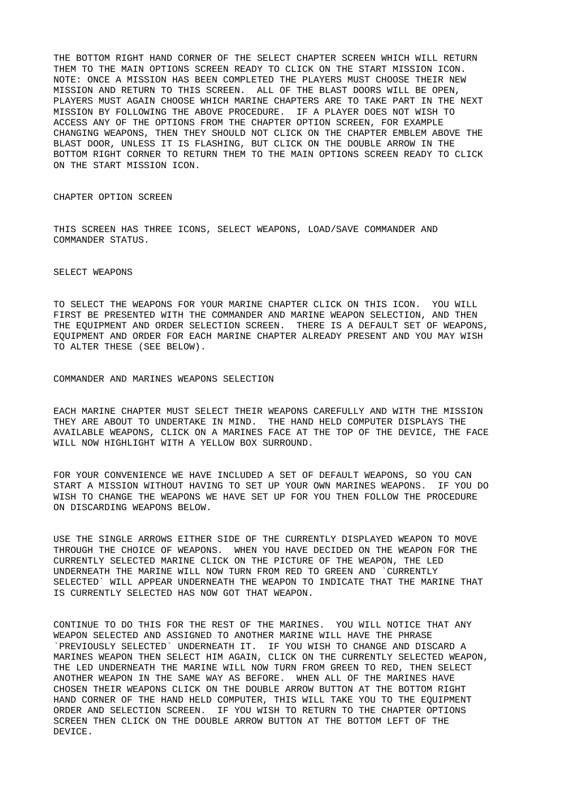THE BOTTOM RIGHT HAND CORNER OF THE SELECT CHAPTER SCREEN WHICH WILL RETURN THEM TO THE MAIN OPTIONS SCREEN READY TO CLICK ON THE START MISSION ICON. NOTE: ONCE A MISSION HAS BEEN COMPLETED THE PLAYERS MUST CHOOSE THEIR NEW MISSION AND RETURN TO THIS SCREEN. ALL OF THE BLAST DOORS WILL BE OPEN, PLAYERS MUST AGAIN CHOOSE WHICH MARINE CHAPTERS ARE TO TAKE PART IN THE NEXT MISSION BY FOLLOWING THE ABOVE PROCEDURE. IF A PLAYER DOES NOT WISH TO ACCESS ANY OF THE OPTIONS FROM THE CHAPTER OPTION SCREEN, FOR EXAMPLE CHANGING WEAPONS, THEN THEY SHOULD NOT CLICK ON THE CHAPTER EMBLEM ABOVE THE BLAST DOOR, UNLESS IT IS FLASHING, BUT CLICK ON THE DOUBLE ARROW IN THE BOTTOM RIGHT CORNER TO RETURN THEM TO THE MAIN OPTIONS SCREEN READY TO CLICK ON THE START MISSION ICON.

CHAPTER OPTION SCREEN

THIS SCREEN HAS THREE ICONS, SELECT WEAPONS, LOAD/SAVE COMMANDER AND COMMANDER STATUS.

SELECT WEAPONS

TO SELECT THE WEAPONS FOR YOUR MARINE CHAPTER CLICK ON THIS ICON. YOU WILL FIRST BE PRESENTED WITH THE COMMANDER AND MARINE WEAPON SELECTION, AND THEN THE EQUIPMENT AND ORDER SELECTION SCREEN. THERE IS A DEFAULT SET OF WEAPONS, EQUIPMENT AND ORDER FOR EACH MARINE CHAPTER ALREADY PRESENT AND YOU MAY WISH TO ALTER THESE (SEE BELOW).

COMMANDER AND MARINES WEAPONS SELECTION

EACH MARINE CHAPTER MUST SELECT THEIR WEAPONS CAREFULLY AND WITH THE MISSION THEY ARE ABOUT TO UNDERTAKE IN MIND. THE HAND HELD COMPUTER DISPLAYS THE AVAILABLE WEAPONS, CLICK ON A MARINES FACE AT THE TOP OF THE DEVICE, THE FACE WILL NOW HIGHLIGHT WITH A YELLOW BOX SURROUND.

FOR YOUR CONVENIENCE WE HAVE INCLUDED A SET OF DEFAULT WEAPONS, SO YOU CAN START A MISSION WITHOUT HAVING TO SET UP YOUR OWN MARINES WEAPONS. IF YOU DO WISH TO CHANGE THE WEAPONS WE HAVE SET UP FOR YOU THEN FOLLOW THE PROCEDURE ON DISCARDING WEAPONS BELOW.

USE THE SINGLE ARROWS EITHER SIDE OF THE CURRENTLY DISPLAYED WEAPON TO MOVE THROUGH THE CHOICE OF WEAPONS. WHEN YOU HAVE DECIDED ON THE WEAPON FOR THE CURRENTLY SELECTED MARINE CLICK ON THE PICTURE OF THE WEAPON, THE LED UNDERNEATH THE MARINE WILL NOW TURN FROM RED TO GREEN AND `CURRENTLY SELECTED` WILL APPEAR UNDERNEATH THE WEAPON TO INDICATE THAT THE MARINE THAT IS CURRENTLY SELECTED HAS NOW GOT THAT WEAPON.

CONTINUE TO DO THIS FOR THE REST OF THE MARINES. YOU WILL NOTICE THAT ANY WEAPON SELECTED AND ASSIGNED TO ANOTHER MARINE WILL HAVE THE PHRASE `PREVIOUSLY SELECTED` UNDERNEATH IT. IF YOU WISH TO CHANGE AND DISCARD A MARINES WEAPON THEN SELECT HIM AGAIN, CLICK ON THE CURRENTLY SELECTED WEAPON, THE LED UNDERNEATH THE MARINE WILL NOW TURN FROM GREEN TO RED, THEN SELECT ANOTHER WEAPON IN THE SAME WAY AS BEFORE. WHEN ALL OF THE MARINES HAVE CHOSEN THEIR WEAPONS CLICK ON THE DOUBLE ARROW BUTTON AT THE BOTTOM RIGHT HAND CORNER OF THE HAND HELD COMPUTER, THIS WILL TAKE YOU TO THE EQUIPMENT ORDER AND SELECTION SCREEN. IF YOU WISH TO RETURN TO THE CHAPTER OPTIONS SCREEN THEN CLICK ON THE DOUBLE ARROW BUTTON AT THE BOTTOM LEFT OF THE DEVICE.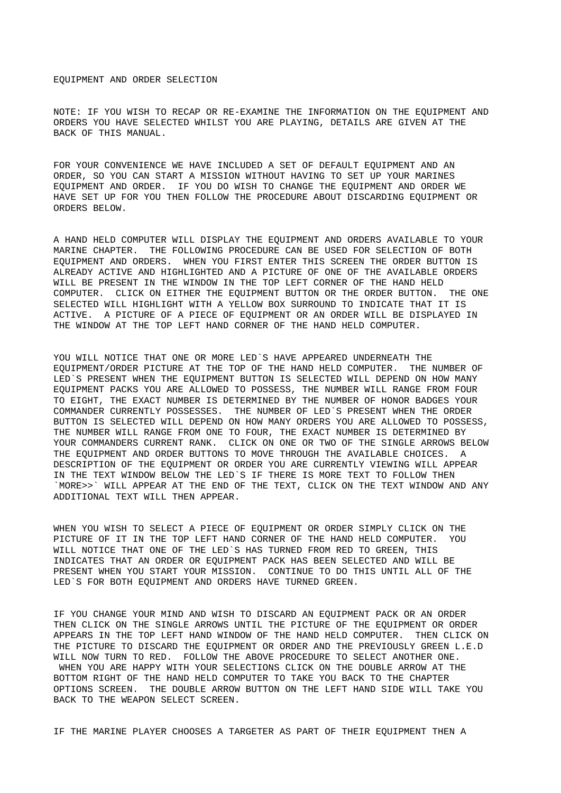### EQUIPMENT AND ORDER SELECTION

NOTE: IF YOU WISH TO RECAP OR RE-EXAMINE THE INFORMATION ON THE EQUIPMENT AND ORDERS YOU HAVE SELECTED WHILST YOU ARE PLAYING, DETAILS ARE GIVEN AT THE BACK OF THIS MANUAL.

FOR YOUR CONVENIENCE WE HAVE INCLUDED A SET OF DEFAULT EQUIPMENT AND AN ORDER, SO YOU CAN START A MISSION WITHOUT HAVING TO SET UP YOUR MARINES EQUIPMENT AND ORDER. IF YOU DO WISH TO CHANGE THE EQUIPMENT AND ORDER WE HAVE SET UP FOR YOU THEN FOLLOW THE PROCEDURE ABOUT DISCARDING EQUIPMENT OR ORDERS BELOW.

A HAND HELD COMPUTER WILL DISPLAY THE EQUIPMENT AND ORDERS AVAILABLE TO YOUR MARINE CHAPTER. THE FOLLOWING PROCEDURE CAN BE USED FOR SELECTION OF BOTH EQUIPMENT AND ORDERS. WHEN YOU FIRST ENTER THIS SCREEN THE ORDER BUTTON IS ALREADY ACTIVE AND HIGHLIGHTED AND A PICTURE OF ONE OF THE AVAILABLE ORDERS WILL BE PRESENT IN THE WINDOW IN THE TOP LEFT CORNER OF THE HAND HELD COMPUTER. CLICK ON EITHER THE EQUIPMENT BUTTON OR THE ORDER BUTTON. THE ONE SELECTED WILL HIGHLIGHT WITH A YELLOW BOX SURROUND TO INDICATE THAT IT IS ACTIVE. A PICTURE OF A PIECE OF EQUIPMENT OR AN ORDER WILL BE DISPLAYED IN THE WINDOW AT THE TOP LEFT HAND CORNER OF THE HAND HELD COMPUTER.

YOU WILL NOTICE THAT ONE OR MORE LED`S HAVE APPEARED UNDERNEATH THE EQUIPMENT/ORDER PICTURE AT THE TOP OF THE HAND HELD COMPUTER. THE NUMBER OF LED`S PRESENT WHEN THE EQUIPMENT BUTTON IS SELECTED WILL DEPEND ON HOW MANY EQUIPMENT PACKS YOU ARE ALLOWED TO POSSESS, THE NUMBER WILL RANGE FROM FOUR TO EIGHT, THE EXACT NUMBER IS DETERMINED BY THE NUMBER OF HONOR BADGES YOUR COMMANDER CURRENTLY POSSESSES. THE NUMBER OF LED`S PRESENT WHEN THE ORDER BUTTON IS SELECTED WILL DEPEND ON HOW MANY ORDERS YOU ARE ALLOWED TO POSSESS, THE NUMBER WILL RANGE FROM ONE TO FOUR, THE EXACT NUMBER IS DETERMINED BY YOUR COMMANDERS CURRENT RANK. CLICK ON ONE OR TWO OF THE SINGLE ARROWS BELOW THE EQUIPMENT AND ORDER BUTTONS TO MOVE THROUGH THE AVAILABLE CHOICES. A DESCRIPTION OF THE EQUIPMENT OR ORDER YOU ARE CURRENTLY VIEWING WILL APPEAR IN THE TEXT WINDOW BELOW THE LED`S IF THERE IS MORE TEXT TO FOLLOW THEN `MORE>>` WILL APPEAR AT THE END OF THE TEXT, CLICK ON THE TEXT WINDOW AND ANY ADDITIONAL TEXT WILL THEN APPEAR.

WHEN YOU WISH TO SELECT A PIECE OF EQUIPMENT OR ORDER SIMPLY CLICK ON THE PICTURE OF IT IN THE TOP LEFT HAND CORNER OF THE HAND HELD COMPUTER. YOU WILL NOTICE THAT ONE OF THE LED`S HAS TURNED FROM RED TO GREEN, THIS INDICATES THAT AN ORDER OR EQUIPMENT PACK HAS BEEN SELECTED AND WILL BE PRESENT WHEN YOU START YOUR MISSION. CONTINUE TO DO THIS UNTIL ALL OF THE LED`S FOR BOTH EQUIPMENT AND ORDERS HAVE TURNED GREEN.

IF YOU CHANGE YOUR MIND AND WISH TO DISCARD AN EQUIPMENT PACK OR AN ORDER THEN CLICK ON THE SINGLE ARROWS UNTIL THE PICTURE OF THE EQUIPMENT OR ORDER APPEARS IN THE TOP LEFT HAND WINDOW OF THE HAND HELD COMPUTER. THEN CLICK ON THE PICTURE TO DISCARD THE EQUIPMENT OR ORDER AND THE PREVIOUSLY GREEN L.E.D WILL NOW TURN TO RED. FOLLOW THE ABOVE PROCEDURE TO SELECT ANOTHER ONE. WHEN YOU ARE HAPPY WITH YOUR SELECTIONS CLICK ON THE DOUBLE ARROW AT THE BOTTOM RIGHT OF THE HAND HELD COMPUTER TO TAKE YOU BACK TO THE CHAPTER OPTIONS SCREEN. THE DOUBLE ARROW BUTTON ON THE LEFT HAND SIDE WILL TAKE YOU BACK TO THE WEAPON SELECT SCREEN.

IF THE MARINE PLAYER CHOOSES A TARGETER AS PART OF THEIR EQUIPMENT THEN A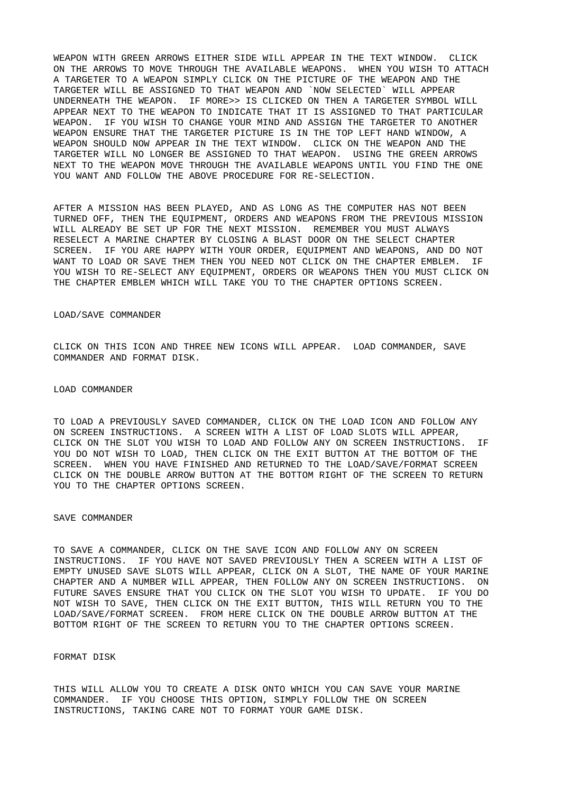WEAPON WITH GREEN ARROWS EITHER SIDE WILL APPEAR IN THE TEXT WINDOW. CLICK ON THE ARROWS TO MOVE THROUGH THE AVAILABLE WEAPONS. WHEN YOU WISH TO ATTACH A TARGETER TO A WEAPON SIMPLY CLICK ON THE PICTURE OF THE WEAPON AND THE TARGETER WILL BE ASSIGNED TO THAT WEAPON AND `NOW SELECTED` WILL APPEAR UNDERNEATH THE WEAPON. IF MORE>> IS CLICKED ON THEN A TARGETER SYMBOL WILL APPEAR NEXT TO THE WEAPON TO INDICATE THAT IT IS ASSIGNED TO THAT PARTICULAR<br>WEAPON, TE YOU WISH TO CHANGE YOUR MIND AND ASSIGN THE TARGETER TO ANOTHER IF YOU WISH TO CHANGE YOUR MIND AND ASSIGN THE TARGETER TO ANOTHER WEAPON ENSURE THAT THE TARGETER PICTURE IS IN THE TOP LEFT HAND WINDOW, A WEAPON SHOULD NOW APPEAR IN THE TEXT WINDOW. CLICK ON THE WEAPON AND THE TARGETER WILL NO LONGER BE ASSIGNED TO THAT WEAPON. USING THE GREEN ARROWS NEXT TO THE WEAPON MOVE THROUGH THE AVAILABLE WEAPONS UNTIL YOU FIND THE ONE YOU WANT AND FOLLOW THE ABOVE PROCEDURE FOR RE-SELECTION.

AFTER A MISSION HAS BEEN PLAYED, AND AS LONG AS THE COMPUTER HAS NOT BEEN TURNED OFF, THEN THE EQUIPMENT, ORDERS AND WEAPONS FROM THE PREVIOUS MISSION WILL ALREADY BE SET UP FOR THE NEXT MISSION. REMEMBER YOU MUST ALWAYS RESELECT A MARINE CHAPTER BY CLOSING A BLAST DOOR ON THE SELECT CHAPTER SCREEN. IF YOU ARE HAPPY WITH YOUR ORDER, EQUIPMENT AND WEAPONS, AND DO NOT WANT TO LOAD OR SAVE THEM THEN YOU NEED NOT CLICK ON THE CHAPTER EMBLEM. IF YOU WISH TO RE-SELECT ANY EQUIPMENT, ORDERS OR WEAPONS THEN YOU MUST CLICK ON THE CHAPTER EMBLEM WHICH WILL TAKE YOU TO THE CHAPTER OPTIONS SCREEN.

### LOAD/SAVE COMMANDER

CLICK ON THIS ICON AND THREE NEW ICONS WILL APPEAR. LOAD COMMANDER, SAVE COMMANDER AND FORMAT DISK.

### LOAD COMMANDER

TO LOAD A PREVIOUSLY SAVED COMMANDER, CLICK ON THE LOAD ICON AND FOLLOW ANY ON SCREEN INSTRUCTIONS. A SCREEN WITH A LIST OF LOAD SLOTS WILL APPEAR, CLICK ON THE SLOT YOU WISH TO LOAD AND FOLLOW ANY ON SCREEN INSTRUCTIONS. IF YOU DO NOT WISH TO LOAD, THEN CLICK ON THE EXIT BUTTON AT THE BOTTOM OF THE SCREEN. WHEN YOU HAVE FINISHED AND RETURNED TO THE LOAD/SAVE/FORMAT SCREEN CLICK ON THE DOUBLE ARROW BUTTON AT THE BOTTOM RIGHT OF THE SCREEN TO RETURN YOU TO THE CHAPTER OPTIONS SCREEN.

#### SAVE COMMANDER

TO SAVE A COMMANDER, CLICK ON THE SAVE ICON AND FOLLOW ANY ON SCREEN INSTRUCTIONS. IF YOU HAVE NOT SAVED PREVIOUSLY THEN A SCREEN WITH A LIST OF EMPTY UNUSED SAVE SLOTS WILL APPEAR, CLICK ON A SLOT, THE NAME OF YOUR MARINE CHAPTER AND A NUMBER WILL APPEAR, THEN FOLLOW ANY ON SCREEN INSTRUCTIONS. ON FUTURE SAVES ENSURE THAT YOU CLICK ON THE SLOT YOU WISH TO UPDATE. IF YOU DO NOT WISH TO SAVE, THEN CLICK ON THE EXIT BUTTON, THIS WILL RETURN YOU TO THE LOAD/SAVE/FORMAT SCREEN. FROM HERE CLICK ON THE DOUBLE ARROW BUTTON AT THE BOTTOM RIGHT OF THE SCREEN TO RETURN YOU TO THE CHAPTER OPTIONS SCREEN.

### FORMAT DISK

THIS WILL ALLOW YOU TO CREATE A DISK ONTO WHICH YOU CAN SAVE YOUR MARINE COMMANDER. IF YOU CHOOSE THIS OPTION, SIMPLY FOLLOW THE ON SCREEN INSTRUCTIONS, TAKING CARE NOT TO FORMAT YOUR GAME DISK.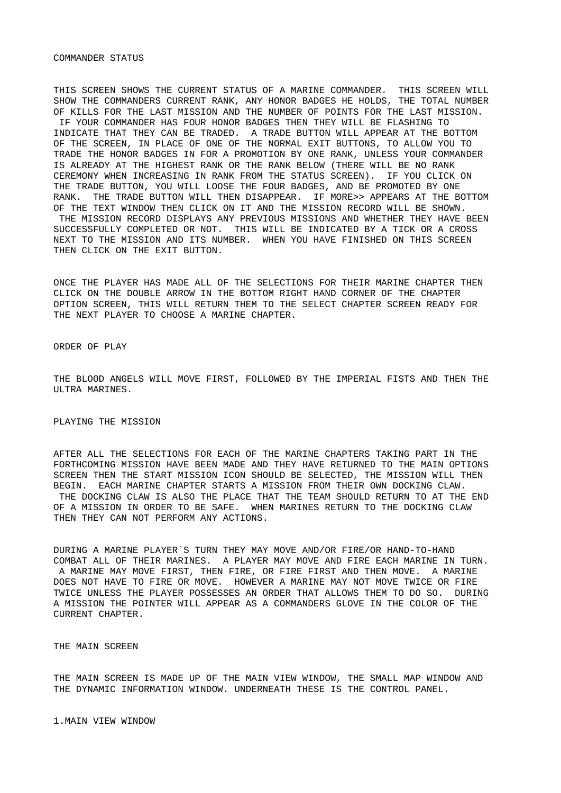### COMMANDER STATUS

THIS SCREEN SHOWS THE CURRENT STATUS OF A MARINE COMMANDER. THIS SCREEN WILL SHOW THE COMMANDERS CURRENT RANK, ANY HONOR BADGES HE HOLDS, THE TOTAL NUMBER OF KILLS FOR THE LAST MISSION AND THE NUMBER OF POINTS FOR THE LAST MISSION. IF YOUR COMMANDER HAS FOUR HONOR BADGES THEN THEY WILL BE FLASHING TO INDICATE THAT THEY CAN BE TRADED. A TRADE BUTTON WILL APPEAR AT THE BOTTOM OF THE SCREEN, IN PLACE OF ONE OF THE NORMAL EXIT BUTTONS, TO ALLOW YOU TO TRADE THE HONOR BADGES IN FOR A PROMOTION BY ONE RANK, UNLESS YOUR COMMANDER IS ALREADY AT THE HIGHEST RANK OR THE RANK BELOW (THERE WILL BE NO RANK CEREMONY WHEN INCREASING IN RANK FROM THE STATUS SCREEN). IF YOU CLICK ON THE TRADE BUTTON, YOU WILL LOOSE THE FOUR BADGES, AND BE PROMOTED BY ONE RANK. THE TRADE BUTTON WILL THEN DISAPPEAR. IF MORE>> APPEARS AT THE BOTTOM OF THE TEXT WINDOW THEN CLICK ON IT AND THE MISSION RECORD WILL BE SHOWN. THE MISSION RECORD DISPLAYS ANY PREVIOUS MISSIONS AND WHETHER THEY HAVE BEEN SUCCESSFULLY COMPLETED OR NOT. THIS WILL BE INDICATED BY A TICK OR A CROSS NEXT TO THE MISSION AND ITS NUMBER. WHEN YOU HAVE FINISHED ON THIS SCREEN THEN CLICK ON THE EXIT BUTTON.

ONCE THE PLAYER HAS MADE ALL OF THE SELECTIONS FOR THEIR MARINE CHAPTER THEN CLICK ON THE DOUBLE ARROW IN THE BOTTOM RIGHT HAND CORNER OF THE CHAPTER OPTION SCREEN, THIS WILL RETURN THEM TO THE SELECT CHAPTER SCREEN READY FOR THE NEXT PLAYER TO CHOOSE A MARINE CHAPTER.

ORDER OF PLAY

THE BLOOD ANGELS WILL MOVE FIRST, FOLLOWED BY THE IMPERIAL FISTS AND THEN THE ULTRA MARINES.

## PLAYING THE MISSION

AFTER ALL THE SELECTIONS FOR EACH OF THE MARINE CHAPTERS TAKING PART IN THE FORTHCOMING MISSION HAVE BEEN MADE AND THEY HAVE RETURNED TO THE MAIN OPTIONS SCREEN THEN THE START MISSION ICON SHOULD BE SELECTED, THE MISSION WILL THEN BEGIN. EACH MARINE CHAPTER STARTS A MISSION FROM THEIR OWN DOCKING CLAW. THE DOCKING CLAW IS ALSO THE PLACE THAT THE TEAM SHOULD RETURN TO AT THE END OF A MISSION IN ORDER TO BE SAFE. WHEN MARINES RETURN TO THE DOCKING CLAW THEN THEY CAN NOT PERFORM ANY ACTIONS.

DURING A MARINE PLAYER`S TURN THEY MAY MOVE AND/OR FIRE/OR HAND-TO-HAND COMBAT ALL OF THEIR MARINES. A PLAYER MAY MOVE AND FIRE EACH MARINE IN TURN. A MARINE MAY MOVE FIRST, THEN FIRE, OR FIRE FIRST AND THEN MOVE. A MARINE DOES NOT HAVE TO FIRE OR MOVE. HOWEVER A MARINE MAY NOT MOVE TWICE OR FIRE TWICE UNLESS THE PLAYER POSSESSES AN ORDER THAT ALLOWS THEM TO DO SO. DURING A MISSION THE POINTER WILL APPEAR AS A COMMANDERS GLOVE IN THE COLOR OF THE CURRENT CHAPTER.

THE MAIN SCREEN

THE MAIN SCREEN IS MADE UP OF THE MAIN VIEW WINDOW, THE SMALL MAP WINDOW AND THE DYNAMIC INFORMATION WINDOW. UNDERNEATH THESE IS THE CONTROL PANEL.

1.MAIN VIEW WINDOW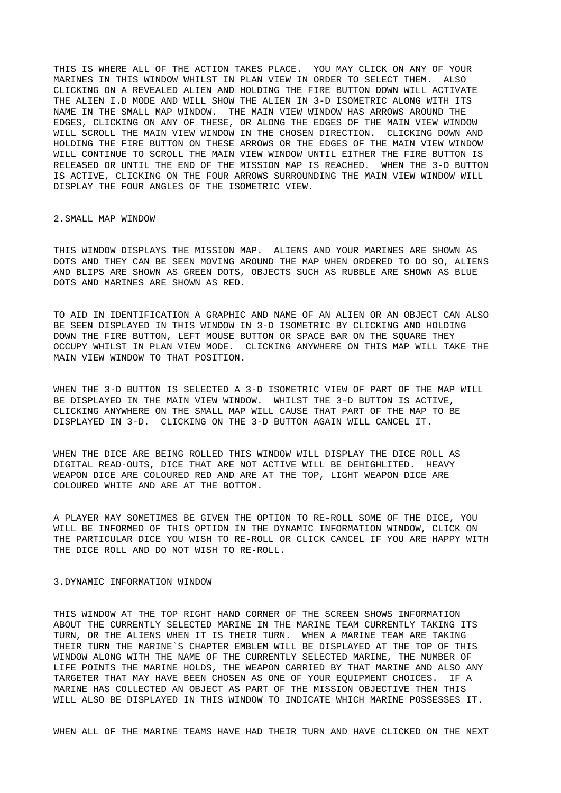THIS IS WHERE ALL OF THE ACTION TAKES PLACE. YOU MAY CLICK ON ANY OF YOUR MARINES IN THIS WINDOW WHILST IN PLAN VIEW IN ORDER TO SELECT THEM. ALSO CLICKING ON A REVEALED ALIEN AND HOLDING THE FIRE BUTTON DOWN WILL ACTIVATE THE ALIEN I.D MODE AND WILL SHOW THE ALIEN IN 3-D ISOMETRIC ALONG WITH ITS NAME IN THE SMALL MAP WINDOW. THE MAIN VIEW WINDOW HAS ARROWS AROUND THE EDGES, CLICKING ON ANY OF THESE, OR ALONG THE EDGES OF THE MAIN VIEW WINDOW WILL SCROLL THE MAIN VIEW WINDOW IN THE CHOSEN DIRECTION. CLICKING DOWN AND HOLDING THE FIRE BUTTON ON THESE ARROWS OR THE EDGES OF THE MAIN VIEW WINDOW WILL CONTINUE TO SCROLL THE MAIN VIEW WINDOW UNTIL EITHER THE FIRE BUTTON IS RELEASED OR UNTIL THE END OF THE MISSION MAP IS REACHED. WHEN THE 3-D BUTTON IS ACTIVE, CLICKING ON THE FOUR ARROWS SURROUNDING THE MAIN VIEW WINDOW WILL DISPLAY THE FOUR ANGLES OF THE ISOMETRIC VIEW.

2.SMALL MAP WINDOW

THIS WINDOW DISPLAYS THE MISSION MAP. ALIENS AND YOUR MARINES ARE SHOWN AS DOTS AND THEY CAN BE SEEN MOVING AROUND THE MAP WHEN ORDERED TO DO SO, ALIENS AND BLIPS ARE SHOWN AS GREEN DOTS, OBJECTS SUCH AS RUBBLE ARE SHOWN AS BLUE DOTS AND MARINES ARE SHOWN AS RED.

TO AID IN IDENTIFICATION A GRAPHIC AND NAME OF AN ALIEN OR AN OBJECT CAN ALSO BE SEEN DISPLAYED IN THIS WINDOW IN 3-D ISOMETRIC BY CLICKING AND HOLDING DOWN THE FIRE BUTTON, LEFT MOUSE BUTTON OR SPACE BAR ON THE SQUARE THEY OCCUPY WHILST IN PLAN VIEW MODE. CLICKING ANYWHERE ON THIS MAP WILL TAKE THE MAIN VIEW WINDOW TO THAT POSITION.

WHEN THE 3-D BUTTON IS SELECTED A 3-D ISOMETRIC VIEW OF PART OF THE MAP WILL BE DISPLAYED IN THE MAIN VIEW WINDOW. WHILST THE 3-D BUTTON IS ACTIVE, CLICKING ANYWHERE ON THE SMALL MAP WILL CAUSE THAT PART OF THE MAP TO BE DISPLAYED IN 3-D. CLICKING ON THE 3-D BUTTON AGAIN WILL CANCEL IT.

WHEN THE DICE ARE BEING ROLLED THIS WINDOW WILL DISPLAY THE DICE ROLL AS DIGITAL READ-OUTS, DICE THAT ARE NOT ACTIVE WILL BE DEHIGHLITED. HEAVY WEAPON DICE ARE COLOURED RED AND ARE AT THE TOP, LIGHT WEAPON DICE ARE COLOURED WHITE AND ARE AT THE BOTTOM.

A PLAYER MAY SOMETIMES BE GIVEN THE OPTION TO RE-ROLL SOME OF THE DICE, YOU WILL BE INFORMED OF THIS OPTION IN THE DYNAMIC INFORMATION WINDOW, CLICK ON THE PARTICULAR DICE YOU WISH TO RE-ROLL OR CLICK CANCEL IF YOU ARE HAPPY WITH THE DICE ROLL AND DO NOT WISH TO RE-ROLL.

## 3.DYNAMIC INFORMATION WINDOW

THIS WINDOW AT THE TOP RIGHT HAND CORNER OF THE SCREEN SHOWS INFORMATION ABOUT THE CURRENTLY SELECTED MARINE IN THE MARINE TEAM CURRENTLY TAKING ITS TURN, OR THE ALIENS WHEN IT IS THEIR TURN. WHEN A MARINE TEAM ARE TAKING THEIR TURN THE MARINE`S CHAPTER EMBLEM WILL BE DISPLAYED AT THE TOP OF THIS WINDOW ALONG WITH THE NAME OF THE CURRENTLY SELECTED MARINE, THE NUMBER OF LIFE POINTS THE MARINE HOLDS, THE WEAPON CARRIED BY THAT MARINE AND ALSO ANY TARGETER THAT MAY HAVE BEEN CHOSEN AS ONE OF YOUR EQUIPMENT CHOICES. IF A MARINE HAS COLLECTED AN OBJECT AS PART OF THE MISSION OBJECTIVE THEN THIS WILL ALSO BE DISPLAYED IN THIS WINDOW TO INDICATE WHICH MARINE POSSESSES IT.

WHEN ALL OF THE MARINE TEAMS HAVE HAD THEIR TURN AND HAVE CLICKED ON THE NEXT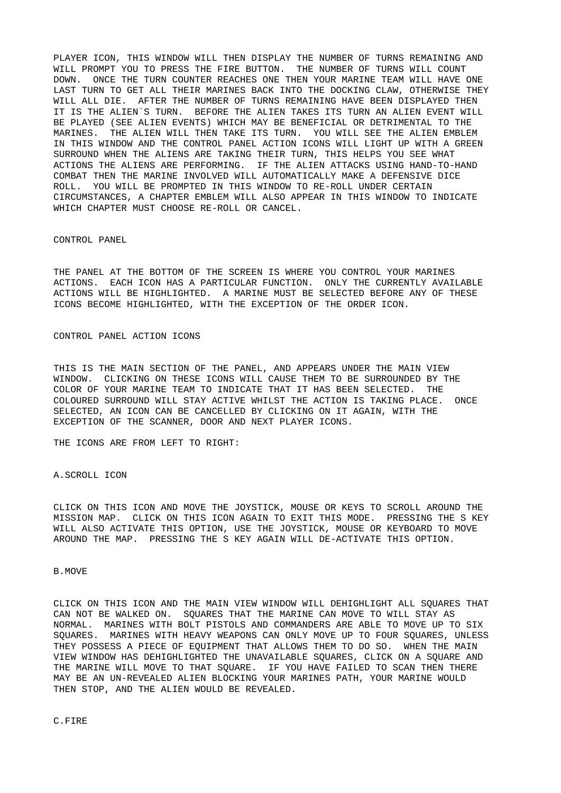PLAYER ICON, THIS WINDOW WILL THEN DISPLAY THE NUMBER OF TURNS REMAINING AND WILL PROMPT YOU TO PRESS THE FIRE BUTTON. THE NUMBER OF TURNS WILL COUNT DOWN. ONCE THE TURN COUNTER REACHES ONE THEN YOUR MARINE TEAM WILL HAVE ONE LAST TURN TO GET ALL THEIR MARINES BACK INTO THE DOCKING CLAW, OTHERWISE THEY WILL ALL DIE. AFTER THE NUMBER OF TURNS REMAINING HAVE BEEN DISPLAYED THEN IT IS THE ALIEN`S TURN. BEFORE THE ALIEN TAKES ITS TURN AN ALIEN EVENT WILL BE PLAYED (SEE ALIEN EVENTS) WHICH MAY BE BENEFICIAL OR DETRIMENTAL TO THE MARINES. THE ALIEN WILL THEN TAKE ITS TURN. YOU WILL SEE THE ALIEN EMBLEM IN THIS WINDOW AND THE CONTROL PANEL ACTION ICONS WILL LIGHT UP WITH A GREEN SURROUND WHEN THE ALIENS ARE TAKING THEIR TURN, THIS HELPS YOU SEE WHAT ACTIONS THE ALIENS ARE PERFORMING. IF THE ALIEN ATTACKS USING HAND-TO-HAND COMBAT THEN THE MARINE INVOLVED WILL AUTOMATICALLY MAKE A DEFENSIVE DICE ROLL. YOU WILL BE PROMPTED IN THIS WINDOW TO RE-ROLL UNDER CERTAIN CIRCUMSTANCES, A CHAPTER EMBLEM WILL ALSO APPEAR IN THIS WINDOW TO INDICATE WHICH CHAPTER MUST CHOOSE RE-ROLL OR CANCEL.

CONTROL PANEL

THE PANEL AT THE BOTTOM OF THE SCREEN IS WHERE YOU CONTROL YOUR MARINES ACTIONS. EACH ICON HAS A PARTICULAR FUNCTION. ONLY THE CURRENTLY AVAILABLE ACTIONS WILL BE HIGHLIGHTED. A MARINE MUST BE SELECTED BEFORE ANY OF THESE ICONS BECOME HIGHLIGHTED, WITH THE EXCEPTION OF THE ORDER ICON.

CONTROL PANEL ACTION ICONS

THIS IS THE MAIN SECTION OF THE PANEL, AND APPEARS UNDER THE MAIN VIEW WINDOW. CLICKING ON THESE ICONS WILL CAUSE THEM TO BE SURROUNDED BY THE COLOR OF YOUR MARINE TEAM TO INDICATE THAT IT HAS BEEN SELECTED. THE COLOURED SURROUND WILL STAY ACTIVE WHILST THE ACTION IS TAKING PLACE. ONCE SELECTED, AN ICON CAN BE CANCELLED BY CLICKING ON IT AGAIN, WITH THE EXCEPTION OF THE SCANNER, DOOR AND NEXT PLAYER ICONS.

THE ICONS ARE FROM LEFT TO RIGHT:

A.SCROLL ICON

CLICK ON THIS ICON AND MOVE THE JOYSTICK, MOUSE OR KEYS TO SCROLL AROUND THE MISSION MAP. CLICK ON THIS ICON AGAIN TO EXIT THIS MODE. PRESSING THE S KEY WILL ALSO ACTIVATE THIS OPTION, USE THE JOYSTICK, MOUSE OR KEYBOARD TO MOVE AROUND THE MAP. PRESSING THE S KEY AGAIN WILL DE-ACTIVATE THIS OPTION.

B.MOVE

CLICK ON THIS ICON AND THE MAIN VIEW WINDOW WILL DEHIGHLIGHT ALL SQUARES THAT CAN NOT BE WALKED ON. SQUARES THAT THE MARINE CAN MOVE TO WILL STAY AS NORMAL. MARINES WITH BOLT PISTOLS AND COMMANDERS ARE ABLE TO MOVE UP TO SIX SQUARES. MARINES WITH HEAVY WEAPONS CAN ONLY MOVE UP TO FOUR SQUARES, UNLESS THEY POSSESS A PIECE OF EQUIPMENT THAT ALLOWS THEM TO DO SO. WHEN THE MAIN VIEW WINDOW HAS DEHIGHLIGHTED THE UNAVAILABLE SQUARES, CLICK ON A SQUARE AND THE MARINE WILL MOVE TO THAT SQUARE. IF YOU HAVE FAILED TO SCAN THEN THERE MAY BE AN UN-REVEALED ALIEN BLOCKING YOUR MARINES PATH, YOUR MARINE WOULD THEN STOP, AND THE ALIEN WOULD BE REVEALED.

C.FIRE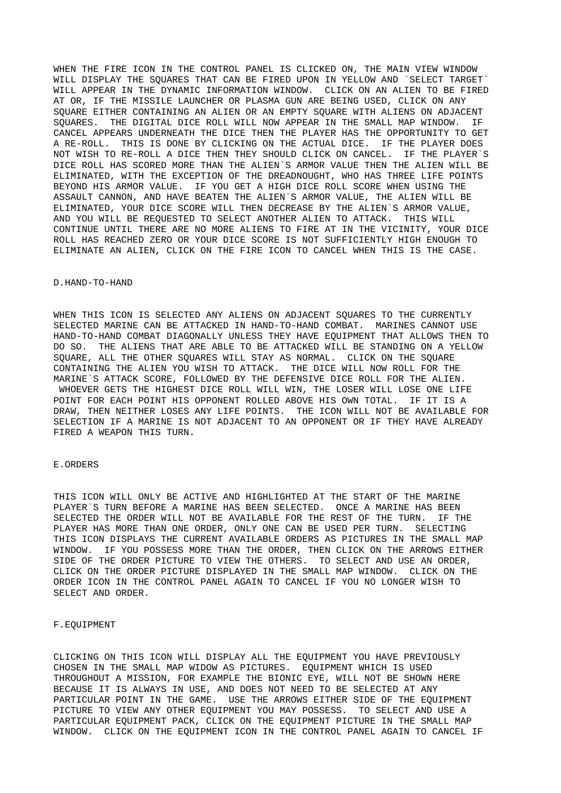WHEN THE FIRE ICON IN THE CONTROL PANEL IS CLICKED ON, THE MAIN VIEW WINDOW WILL DISPLAY THE SOUARES THAT CAN BE FIRED UPON IN YELLOW AND `SELECT TARGET WILL APPEAR IN THE DYNAMIC INFORMATION WINDOW. CLICK ON AN ALIEN TO BE FIRED AT OR, IF THE MISSILE LAUNCHER OR PLASMA GUN ARE BEING USED, CLICK ON ANY SQUARE EITHER CONTAINING AN ALIEN OR AN EMPTY SQUARE WITH ALIENS ON ADJACENT SQUARES. THE DIGITAL DICE ROLL WILL NOW APPEAR IN THE SMALL MAP WINDOW. IF CANCEL APPEARS UNDERNEATH THE DICE THEN THE PLAYER HAS THE OPPORTUNITY TO GET A RE-ROLL. THIS IS DONE BY CLICKING ON THE ACTUAL DICE. IF THE PLAYER DOES NOT WISH TO RE-ROLL A DICE THEN THEY SHOULD CLICK ON CANCEL. IF THE PLAYER`S DICE ROLL HAS SCORED MORE THAN THE ALIEN`S ARMOR VALUE THEN THE ALIEN WILL BE ELIMINATED, WITH THE EXCEPTION OF THE DREADNOUGHT, WHO HAS THREE LIFE POINTS BEYOND HIS ARMOR VALUE. IF YOU GET A HIGH DICE ROLL SCORE WHEN USING THE ASSAULT CANNON, AND HAVE BEATEN THE ALIEN`S ARMOR VALUE, THE ALIEN WILL BE ELIMINATED, YOUR DICE SCORE WILL THEN DECREASE BY THE ALIEN`S ARMOR VALUE, AND YOU WILL BE REQUESTED TO SELECT ANOTHER ALIEN TO ATTACK. THIS WILL CONTINUE UNTIL THERE ARE NO MORE ALIENS TO FIRE AT IN THE VICINITY, YOUR DICE ROLL HAS REACHED ZERO OR YOUR DICE SCORE IS NOT SUFFICIENTLY HIGH ENOUGH TO ELIMINATE AN ALIEN, CLICK ON THE FIRE ICON TO CANCEL WHEN THIS IS THE CASE.

## D.HAND-TO-HAND

WHEN THIS ICON IS SELECTED ANY ALIENS ON ADJACENT SOUARES TO THE CURRENTLY SELECTED MARINE CAN BE ATTACKED IN HAND-TO-HAND COMBAT. MARINES CANNOT USE HAND-TO-HAND COMBAT DIAGONALLY UNLESS THEY HAVE EQUIPMENT THAT ALLOWS THEN TO DO SO. THE ALIENS THAT ARE ABLE TO BE ATTACKED WILL BE STANDING ON A YELLOW SQUARE, ALL THE OTHER SQUARES WILL STAY AS NORMAL. CLICK ON THE SQUARE CONTAINING THE ALIEN YOU WISH TO ATTACK. THE DICE WILL NOW ROLL FOR THE MARINE`S ATTACK SCORE, FOLLOWED BY THE DEFENSIVE DICE ROLL FOR THE ALIEN. WHOEVER GETS THE HIGHEST DICE ROLL WILL WIN, THE LOSER WILL LOSE ONE LIFE POINT FOR EACH POINT HIS OPPONENT ROLLED ABOVE HIS OWN TOTAL. IF IT IS A DRAW, THEN NEITHER LOSES ANY LIFE POINTS. THE ICON WILL NOT BE AVAILABLE FOR SELECTION IF A MARINE IS NOT ADJACENT TO AN OPPONENT OR IF THEY HAVE ALREADY FIRED A WEAPON THIS TURN.

### E.ORDERS

THIS ICON WILL ONLY BE ACTIVE AND HIGHLIGHTED AT THE START OF THE MARINE PLAYER`S TURN BEFORE A MARINE HAS BEEN SELECTED. ONCE A MARINE HAS BEEN SELECTED THE ORDER WILL NOT BE AVAILABLE FOR THE REST OF THE TURN. IF THE PLAYER HAS MORE THAN ONE ORDER, ONLY ONE CAN BE USED PER TURN. SELECTING THIS ICON DISPLAYS THE CURRENT AVAILABLE ORDERS AS PICTURES IN THE SMALL MAP WINDOW. IF YOU POSSESS MORE THAN THE ORDER, THEN CLICK ON THE ARROWS EITHER SIDE OF THE ORDER PICTURE TO VIEW THE OTHERS. TO SELECT AND USE AN ORDER, CLICK ON THE ORDER PICTURE DISPLAYED IN THE SMALL MAP WINDOW. CLICK ON THE ORDER ICON IN THE CONTROL PANEL AGAIN TO CANCEL IF YOU NO LONGER WISH TO SELECT AND ORDER.

## F.EQUIPMENT

CLICKING ON THIS ICON WILL DISPLAY ALL THE EQUIPMENT YOU HAVE PREVIOUSLY CHOSEN IN THE SMALL MAP WIDOW AS PICTURES. EQUIPMENT WHICH IS USED THROUGHOUT A MISSION, FOR EXAMPLE THE BIONIC EYE, WILL NOT BE SHOWN HERE BECAUSE IT IS ALWAYS IN USE, AND DOES NOT NEED TO BE SELECTED AT ANY PARTICULAR POINT IN THE GAME. USE THE ARROWS EITHER SIDE OF THE EQUIPMENT PICTURE TO VIEW ANY OTHER EQUIPMENT YOU MAY POSSESS. TO SELECT AND USE A PARTICULAR EQUIPMENT PACK, CLICK ON THE EQUIPMENT PICTURE IN THE SMALL MAP WINDOW. CLICK ON THE EQUIPMENT ICON IN THE CONTROL PANEL AGAIN TO CANCEL IF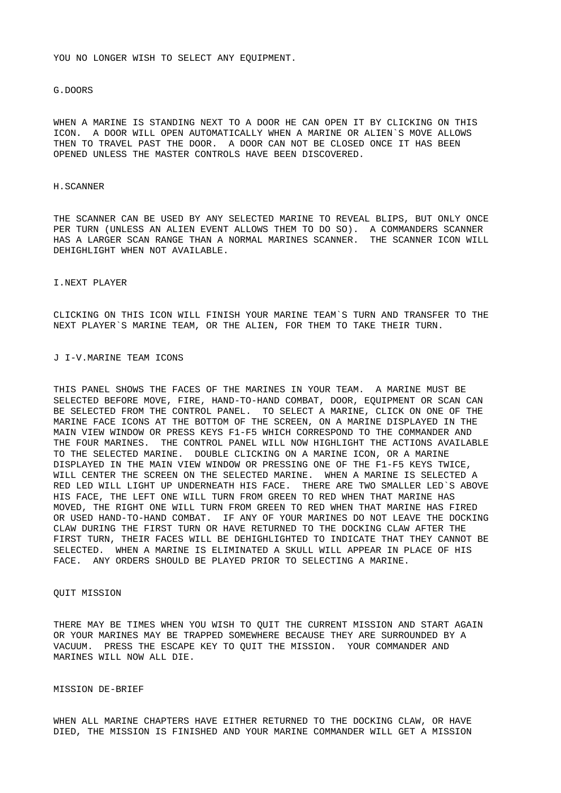YOU NO LONGER WISH TO SELECT ANY EOUIPMENT.

### G.DOORS

WHEN A MARINE IS STANDING NEXT TO A DOOR HE CAN OPEN IT BY CLICKING ON THIS ICON. A DOOR WILL OPEN AUTOMATICALLY WHEN A MARINE OR ALIEN`S MOVE ALLOWS THEN TO TRAVEL PAST THE DOOR. A DOOR CAN NOT BE CLOSED ONCE IT HAS BEEN OPENED UNLESS THE MASTER CONTROLS HAVE BEEN DISCOVERED.

### H.SCANNER

THE SCANNER CAN BE USED BY ANY SELECTED MARINE TO REVEAL BLIPS, BUT ONLY ONCE PER TURN (UNLESS AN ALIEN EVENT ALLOWS THEM TO DO SO). A COMMANDERS SCANNER HAS A LARGER SCAN RANGE THAN A NORMAL MARINES SCANNER. THE SCANNER ICON WILL DEHIGHLIGHT WHEN NOT AVAILABLE.

### I.NEXT PLAYER

CLICKING ON THIS ICON WILL FINISH YOUR MARINE TEAM`S TURN AND TRANSFER TO THE NEXT PLAYER`S MARINE TEAM, OR THE ALIEN, FOR THEM TO TAKE THEIR TURN.

# J I-V.MARINE TEAM ICONS

THIS PANEL SHOWS THE FACES OF THE MARINES IN YOUR TEAM. A MARINE MUST BE SELECTED BEFORE MOVE, FIRE, HAND-TO-HAND COMBAT, DOOR, EQUIPMENT OR SCAN CAN BE SELECTED FROM THE CONTROL PANEL. TO SELECT A MARINE, CLICK ON ONE OF THE MARINE FACE ICONS AT THE BOTTOM OF THE SCREEN, ON A MARINE DISPLAYED IN THE MAIN VIEW WINDOW OR PRESS KEYS F1-F5 WHICH CORRESPOND TO THE COMMANDER AND THE FOUR MARINES. THE CONTROL PANEL WILL NOW HIGHLIGHT THE ACTIONS AVAILABLE TO THE SELECTED MARINE. DOUBLE CLICKING ON A MARINE ICON, OR A MARINE DISPLAYED IN THE MAIN VIEW WINDOW OR PRESSING ONE OF THE F1-F5 KEYS TWICE, WILL CENTER THE SCREEN ON THE SELECTED MARINE. WHEN A MARINE IS SELECTED A RED LED WILL LIGHT UP UNDERNEATH HIS FACE. THERE ARE TWO SMALLER LED`S ABOVE HIS FACE, THE LEFT ONE WILL TURN FROM GREEN TO RED WHEN THAT MARINE HAS MOVED, THE RIGHT ONE WILL TURN FROM GREEN TO RED WHEN THAT MARINE HAS FIRED OR USED HAND-TO-HAND COMBAT. IF ANY OF YOUR MARINES DO NOT LEAVE THE DOCKING CLAW DURING THE FIRST TURN OR HAVE RETURNED TO THE DOCKING CLAW AFTER THE FIRST TURN, THEIR FACES WILL BE DEHIGHLIGHTED TO INDICATE THAT THEY CANNOT BE SELECTED. WHEN A MARINE IS ELIMINATED A SKULL WILL APPEAR IN PLACE OF HIS FACE. ANY ORDERS SHOULD BE PLAYED PRIOR TO SELECTING A MARINE.

## QUIT MISSION

THERE MAY BE TIMES WHEN YOU WISH TO QUIT THE CURRENT MISSION AND START AGAIN OR YOUR MARINES MAY BE TRAPPED SOMEWHERE BECAUSE THEY ARE SURROUNDED BY A VACUUM. PRESS THE ESCAPE KEY TO QUIT THE MISSION. YOUR COMMANDER AND MARINES WILL NOW ALL DIE.

### MISSION DE-BRIEF

WHEN ALL MARINE CHAPTERS HAVE EITHER RETURNED TO THE DOCKING CLAW, OR HAVE DIED, THE MISSION IS FINISHED AND YOUR MARINE COMMANDER WILL GET A MISSION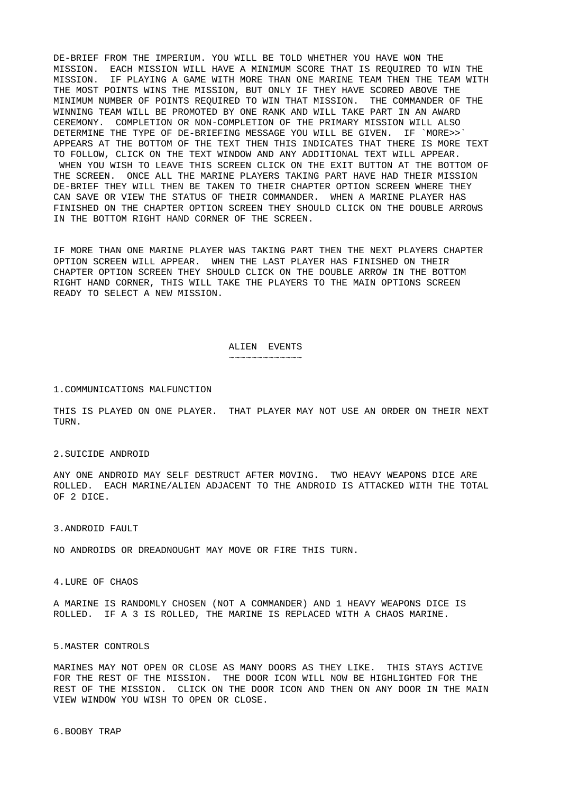DE-BRIEF FROM THE IMPERIUM. YOU WILL BE TOLD WHETHER YOU HAVE WON THE MISSION. EACH MISSION WILL HAVE A MINIMUM SCORE THAT IS REQUIRED TO WIN THE MISSION. IF PLAYING A GAME WITH MORE THAN ONE MARINE TEAM THEN THE TEAM WITH THE MOST POINTS WINS THE MISSION, BUT ONLY IF THEY HAVE SCORED ABOVE THE MINIMUM NUMBER OF POINTS REQUIRED TO WIN THAT MISSION. THE COMMANDER OF THE WINNING TEAM WILL BE PROMOTED BY ONE RANK AND WILL TAKE PART IN AN AWARD CEREMONY. COMPLETION OR NON-COMPLETION OF THE PRIMARY MISSION WILL ALSO DETERMINE THE TYPE OF DE-BRIEFING MESSAGE YOU WILL BE GIVEN. IF `MORE>>` APPEARS AT THE BOTTOM OF THE TEXT THEN THIS INDICATES THAT THERE IS MORE TEXT TO FOLLOW, CLICK ON THE TEXT WINDOW AND ANY ADDITIONAL TEXT WILL APPEAR. WHEN YOU WISH TO LEAVE THIS SCREEN CLICK ON THE EXIT BUTTON AT THE BOTTOM OF THE SCREEN. ONCE ALL THE MARINE PLAYERS TAKING PART HAVE HAD THEIR MISSION DE-BRIEF THEY WILL THEN BE TAKEN TO THEIR CHAPTER OPTION SCREEN WHERE THEY CAN SAVE OR VIEW THE STATUS OF THEIR COMMANDER. WHEN A MARINE PLAYER HAS FINISHED ON THE CHAPTER OPTION SCREEN THEY SHOULD CLICK ON THE DOUBLE ARROWS IN THE BOTTOM RIGHT HAND CORNER OF THE SCREEN.

IF MORE THAN ONE MARINE PLAYER WAS TAKING PART THEN THE NEXT PLAYERS CHAPTER OPTION SCREEN WILL APPEAR. WHEN THE LAST PLAYER HAS FINISHED ON THEIR CHAPTER OPTION SCREEN THEY SHOULD CLICK ON THE DOUBLE ARROW IN THE BOTTOM RIGHT HAND CORNER, THIS WILL TAKE THE PLAYERS TO THE MAIN OPTIONS SCREEN READY TO SELECT A NEW MISSION.

#### ALIEN EVENTS ~~~~~~~~~~~~~

### 1.COMMUNICATIONS MALFUNCTION

THIS IS PLAYED ON ONE PLAYER. THAT PLAYER MAY NOT USE AN ORDER ON THEIR NEXT TURN.

#### 2.SUICIDE ANDROID

ANY ONE ANDROID MAY SELF DESTRUCT AFTER MOVING. TWO HEAVY WEAPONS DICE ARE ROLLED. EACH MARINE/ALIEN ADJACENT TO THE ANDROID IS ATTACKED WITH THE TOTAL OF 2 DICE.

#### 3.ANDROID FAULT

NO ANDROIDS OR DREADNOUGHT MAY MOVE OR FIRE THIS TURN.

4.LURE OF CHAOS

A MARINE IS RANDOMLY CHOSEN (NOT A COMMANDER) AND 1 HEAVY WEAPONS DICE IS ROLLED. IF A 3 IS ROLLED, THE MARINE IS REPLACED WITH A CHAOS MARINE.

### 5.MASTER CONTROLS

MARINES MAY NOT OPEN OR CLOSE AS MANY DOORS AS THEY LIKE. THIS STAYS ACTIVE FOR THE REST OF THE MISSION. THE DOOR ICON WILL NOW BE HIGHLIGHTED FOR THE REST OF THE MISSION. CLICK ON THE DOOR ICON AND THEN ON ANY DOOR IN THE MAIN VIEW WINDOW YOU WISH TO OPEN OR CLOSE.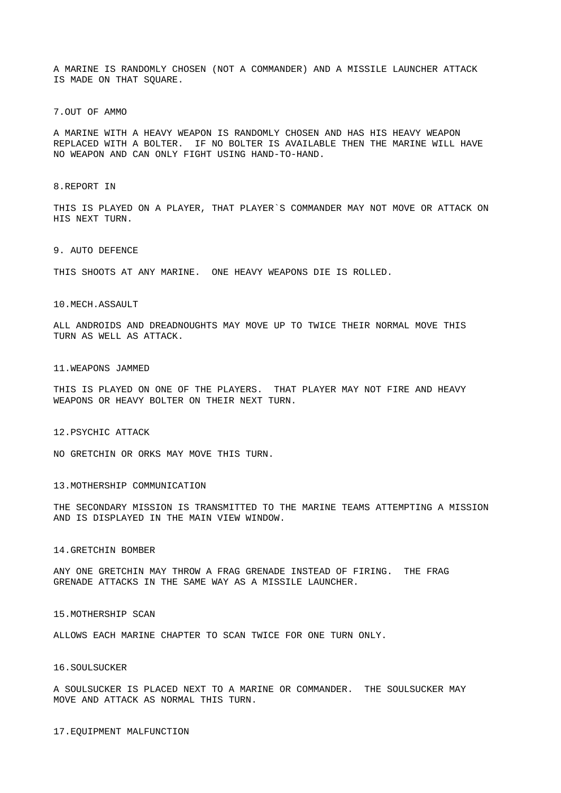A MARINE IS RANDOMLY CHOSEN (NOT A COMMANDER) AND A MISSILE LAUNCHER ATTACK IS MADE ON THAT SQUARE.

7.OUT OF AMMO

A MARINE WITH A HEAVY WEAPON IS RANDOMLY CHOSEN AND HAS HIS HEAVY WEAPON REPLACED WITH A BOLTER. IF NO BOLTER IS AVAILABLE THEN THE MARINE WILL HAVE NO WEAPON AND CAN ONLY FIGHT USING HAND-TO-HAND.

8.REPORT IN

THIS IS PLAYED ON A PLAYER, THAT PLAYER`S COMMANDER MAY NOT MOVE OR ATTACK ON HIS NEXT TURN.

9. AUTO DEFENCE

THIS SHOOTS AT ANY MARINE. ONE HEAVY WEAPONS DIE IS ROLLED.

10.MECH.ASSAULT

ALL ANDROIDS AND DREADNOUGHTS MAY MOVE UP TO TWICE THEIR NORMAL MOVE THIS TURN AS WELL AS ATTACK.

### 11.WEAPONS JAMMED

THIS IS PLAYED ON ONE OF THE PLAYERS. THAT PLAYER MAY NOT FIRE AND HEAVY WEAPONS OR HEAVY BOLTER ON THEIR NEXT TURN.

12.PSYCHIC ATTACK

NO GRETCHIN OR ORKS MAY MOVE THIS TURN.

13.MOTHERSHIP COMMUNICATION

THE SECONDARY MISSION IS TRANSMITTED TO THE MARINE TEAMS ATTEMPTING A MISSION AND IS DISPLAYED IN THE MAIN VIEW WINDOW.

### 14.GRETCHIN BOMBER

ANY ONE GRETCHIN MAY THROW A FRAG GRENADE INSTEAD OF FIRING. THE FRAG GRENADE ATTACKS IN THE SAME WAY AS A MISSILE LAUNCHER.

### 15.MOTHERSHIP SCAN

ALLOWS EACH MARINE CHAPTER TO SCAN TWICE FOR ONE TURN ONLY.

### 16.SOULSUCKER

A SOULSUCKER IS PLACED NEXT TO A MARINE OR COMMANDER. THE SOULSUCKER MAY MOVE AND ATTACK AS NORMAL THIS TURN.

17.EQUIPMENT MALFUNCTION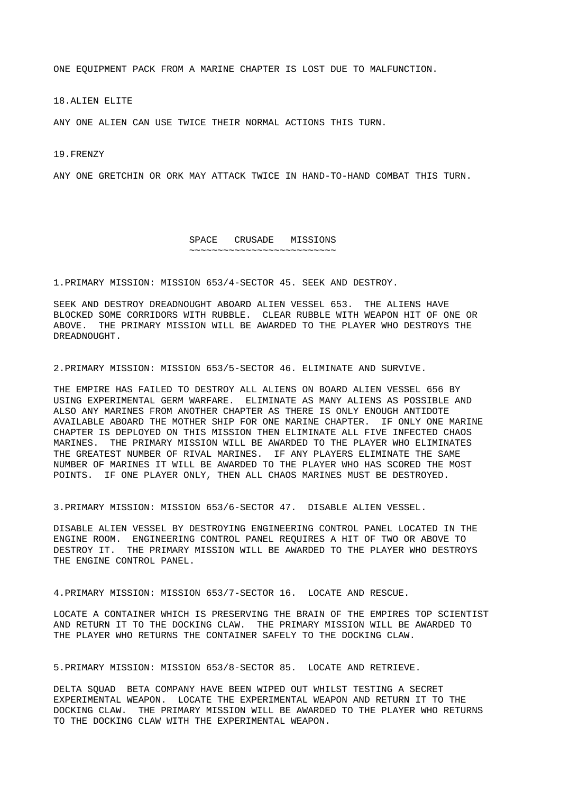ONE EQUIPMENT PACK FROM A MARINE CHAPTER IS LOST DUE TO MALFUNCTION.

18.ALIEN ELITE

ANY ONE ALIEN CAN USE TWICE THEIR NORMAL ACTIONS THIS TURN.

19.FRENZY

ANY ONE GRETCHIN OR ORK MAY ATTACK TWICE IN HAND-TO-HAND COMBAT THIS TURN.

#### SPACE CRUSADE MISSIONS ~~~~~~~~~~~~~~~~~~~~~~~~~~

1.PRIMARY MISSION: MISSION 653/4-SECTOR 45. SEEK AND DESTROY.

SEEK AND DESTROY DREADNOUGHT ABOARD ALIEN VESSEL 653. THE ALIENS HAVE BLOCKED SOME CORRIDORS WITH RUBBLE. CLEAR RUBBLE WITH WEAPON HIT OF ONE OR ABOVE. THE PRIMARY MISSION WILL BE AWARDED TO THE PLAYER WHO DESTROYS THE DREADNOUGHT.

2.PRIMARY MISSION: MISSION 653/5-SECTOR 46. ELIMINATE AND SURVIVE.

THE EMPIRE HAS FAILED TO DESTROY ALL ALIENS ON BOARD ALIEN VESSEL 656 BY USING EXPERIMENTAL GERM WARFARE. ELIMINATE AS MANY ALIENS AS POSSIBLE AND ALSO ANY MARINES FROM ANOTHER CHAPTER AS THERE IS ONLY ENOUGH ANTIDOTE AVAILABLE ABOARD THE MOTHER SHIP FOR ONE MARINE CHAPTER. IF ONLY ONE MARINE CHAPTER IS DEPLOYED ON THIS MISSION THEN ELIMINATE ALL FIVE INFECTED CHAOS MARINES. THE PRIMARY MISSION WILL BE AWARDED TO THE PLAYER WHO ELIMINATES THE GREATEST NUMBER OF RIVAL MARINES. IF ANY PLAYERS ELIMINATE THE SAME NUMBER OF MARINES IT WILL BE AWARDED TO THE PLAYER WHO HAS SCORED THE MOST POINTS. IF ONE PLAYER ONLY, THEN ALL CHAOS MARINES MUST BE DESTROYED.

3.PRIMARY MISSION: MISSION 653/6-SECTOR 47. DISABLE ALIEN VESSEL.

DISABLE ALIEN VESSEL BY DESTROYING ENGINEERING CONTROL PANEL LOCATED IN THE ENGINE ROOM. ENGINEERING CONTROL PANEL REQUIRES A HIT OF TWO OR ABOVE TO DESTROY IT. THE PRIMARY MISSION WILL BE AWARDED TO THE PLAYER WHO DESTROYS THE ENGINE CONTROL PANEL.

4.PRIMARY MISSION: MISSION 653/7-SECTOR 16. LOCATE AND RESCUE.

LOCATE A CONTAINER WHICH IS PRESERVING THE BRAIN OF THE EMPIRES TOP SCIENTIST AND RETURN IT TO THE DOCKING CLAW. THE PRIMARY MISSION WILL BE AWARDED TO THE PLAYER WHO RETURNS THE CONTAINER SAFELY TO THE DOCKING CLAW.

5.PRIMARY MISSION: MISSION 653/8-SECTOR 85. LOCATE AND RETRIEVE.

DELTA SQUAD BETA COMPANY HAVE BEEN WIPED OUT WHILST TESTING A SECRET EXPERIMENTAL WEAPON. LOCATE THE EXPERIMENTAL WEAPON AND RETURN IT TO THE DOCKING CLAW. THE PRIMARY MISSION WILL BE AWARDED TO THE PLAYER WHO RETURNS TO THE DOCKING CLAW WITH THE EXPERIMENTAL WEAPON.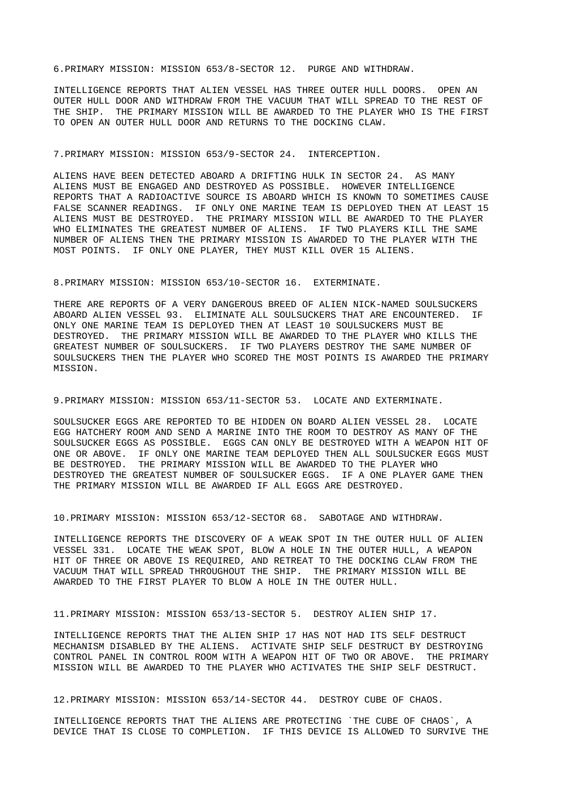6.PRIMARY MISSION: MISSION 653/8-SECTOR 12. PURGE AND WITHDRAW.

INTELLIGENCE REPORTS THAT ALIEN VESSEL HAS THREE OUTER HULL DOORS. OPEN AN OUTER HULL DOOR AND WITHDRAW FROM THE VACUUM THAT WILL SPREAD TO THE REST OF THE SHIP. THE PRIMARY MISSION WILL BE AWARDED TO THE PLAYER WHO IS THE FIRST TO OPEN AN OUTER HULL DOOR AND RETURNS TO THE DOCKING CLAW.

### 7.PRIMARY MISSION: MISSION 653/9-SECTOR 24. INTERCEPTION.

ALIENS HAVE BEEN DETECTED ABOARD A DRIFTING HULK IN SECTOR 24. AS MANY ALIENS MUST BE ENGAGED AND DESTROYED AS POSSIBLE. HOWEVER INTELLIGENCE REPORTS THAT A RADIOACTIVE SOURCE IS ABOARD WHICH IS KNOWN TO SOMETIMES CAUSE FALSE SCANNER READINGS. IF ONLY ONE MARINE TEAM IS DEPLOYED THEN AT LEAST 15 ALIENS MUST BE DESTROYED. THE PRIMARY MISSION WILL BE AWARDED TO THE PLAYER WHO ELIMINATES THE GREATEST NUMBER OF ALIENS. IF TWO PLAYERS KILL THE SAME NUMBER OF ALIENS THEN THE PRIMARY MISSION IS AWARDED TO THE PLAYER WITH THE MOST POINTS. IF ONLY ONE PLAYER, THEY MUST KILL OVER 15 ALIENS.

### 8.PRIMARY MISSION: MISSION 653/10-SECTOR 16. EXTERMINATE.

THERE ARE REPORTS OF A VERY DANGEROUS BREED OF ALIEN NICK-NAMED SOULSUCKERS ABOARD ALIEN VESSEL 93. ELIMINATE ALL SOULSUCKERS THAT ARE ENCOUNTERED. IF ONLY ONE MARINE TEAM IS DEPLOYED THEN AT LEAST 10 SOULSUCKERS MUST BE DESTROYED. THE PRIMARY MISSION WILL BE AWARDED TO THE PLAYER WHO KILLS THE GREATEST NUMBER OF SOULSUCKERS. IF TWO PLAYERS DESTROY THE SAME NUMBER OF SOULSUCKERS THEN THE PLAYER WHO SCORED THE MOST POINTS IS AWARDED THE PRIMARY MISSION.

## 9.PRIMARY MISSION: MISSION 653/11-SECTOR 53. LOCATE AND EXTERMINATE.

SOULSUCKER EGGS ARE REPORTED TO BE HIDDEN ON BOARD ALIEN VESSEL 28. LOCATE EGG HATCHERY ROOM AND SEND A MARINE INTO THE ROOM TO DESTROY AS MANY OF THE SOULSUCKER EGGS AS POSSIBLE. EGGS CAN ONLY BE DESTROYED WITH A WEAPON HIT OF ONE OR ABOVE. IF ONLY ONE MARINE TEAM DEPLOYED THEN ALL SOULSUCKER EGGS MUST<br>BE DESTROYED. THE PRIMARY MISSION WILL BE AWARDED TO THE PLAYER WHO THE PRIMARY MISSION WILL BE AWARDED TO THE PLAYER WHO DESTROYED THE GREATEST NUMBER OF SOULSUCKER EGGS. IF A ONE PLAYER GAME THEN THE PRIMARY MISSION WILL BE AWARDED IF ALL EGGS ARE DESTROYED.

10.PRIMARY MISSION: MISSION 653/12-SECTOR 68. SABOTAGE AND WITHDRAW.

INTELLIGENCE REPORTS THE DISCOVERY OF A WEAK SPOT IN THE OUTER HULL OF ALIEN VESSEL 331. LOCATE THE WEAK SPOT, BLOW A HOLE IN THE OUTER HULL, A WEAPON HIT OF THREE OR ABOVE IS REQUIRED, AND RETREAT TO THE DOCKING CLAW FROM THE VACUUM THAT WILL SPREAD THROUGHOUT THE SHIP. THE PRIMARY MISSION WILL BE AWARDED TO THE FIRST PLAYER TO BLOW A HOLE IN THE OUTER HULL.

11.PRIMARY MISSION: MISSION 653/13-SECTOR 5. DESTROY ALIEN SHIP 17.

INTELLIGENCE REPORTS THAT THE ALIEN SHIP 17 HAS NOT HAD ITS SELF DESTRUCT MECHANISM DISABLED BY THE ALIENS. ACTIVATE SHIP SELF DESTRUCT BY DESTROYING CONTROL PANEL IN CONTROL ROOM WITH A WEAPON HIT OF TWO OR ABOVE. THE PRIMARY MISSION WILL BE AWARDED TO THE PLAYER WHO ACTIVATES THE SHIP SELF DESTRUCT.

12.PRIMARY MISSION: MISSION 653/14-SECTOR 44. DESTROY CUBE OF CHAOS.

INTELLIGENCE REPORTS THAT THE ALIENS ARE PROTECTING `THE CUBE OF CHAOS`, A DEVICE THAT IS CLOSE TO COMPLETION. IF THIS DEVICE IS ALLOWED TO SURVIVE THE